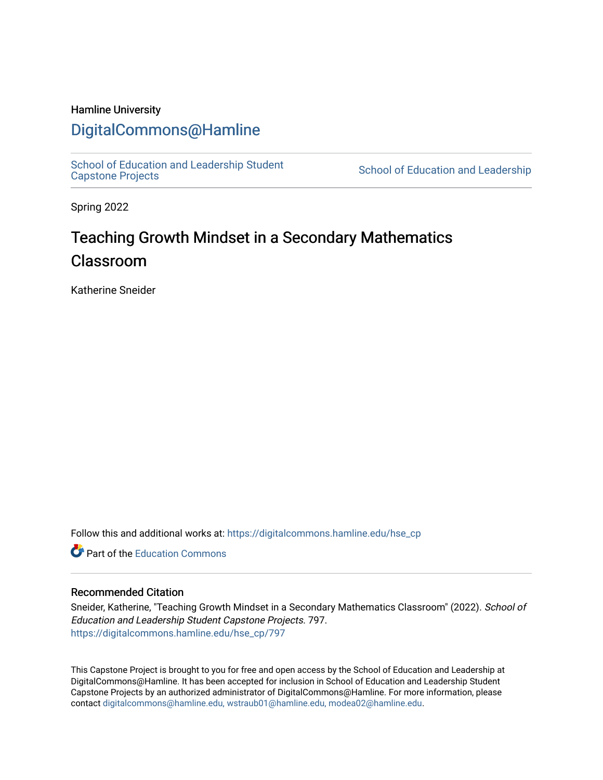## Hamline University

## [DigitalCommons@Hamline](https://digitalcommons.hamline.edu/)

[School of Education and Leadership Student](https://digitalcommons.hamline.edu/hse_cp)<br>Capstone Projects

School of Education and Leadership

Spring 2022

# Teaching Growth Mindset in a Secondary Mathematics Classroom

Katherine Sneider

Follow this and additional works at: [https://digitalcommons.hamline.edu/hse\\_cp](https://digitalcommons.hamline.edu/hse_cp?utm_source=digitalcommons.hamline.edu%2Fhse_cp%2F797&utm_medium=PDF&utm_campaign=PDFCoverPages) 

**C** Part of the [Education Commons](https://network.bepress.com/hgg/discipline/784?utm_source=digitalcommons.hamline.edu%2Fhse_cp%2F797&utm_medium=PDF&utm_campaign=PDFCoverPages)

## Recommended Citation

Sneider, Katherine, "Teaching Growth Mindset in a Secondary Mathematics Classroom" (2022). School of Education and Leadership Student Capstone Projects. 797. [https://digitalcommons.hamline.edu/hse\\_cp/797](https://digitalcommons.hamline.edu/hse_cp/797?utm_source=digitalcommons.hamline.edu%2Fhse_cp%2F797&utm_medium=PDF&utm_campaign=PDFCoverPages) 

This Capstone Project is brought to you for free and open access by the School of Education and Leadership at DigitalCommons@Hamline. It has been accepted for inclusion in School of Education and Leadership Student Capstone Projects by an authorized administrator of DigitalCommons@Hamline. For more information, please contact [digitalcommons@hamline.edu, wstraub01@hamline.edu, modea02@hamline.edu.](mailto:digitalcommons@hamline.edu,%20wstraub01@hamline.edu,%20modea02@hamline.edu)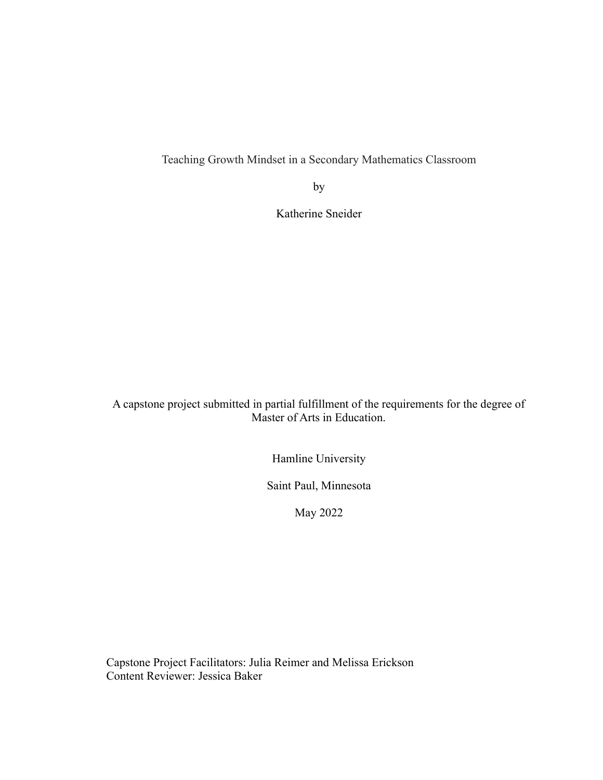Teaching Growth Mindset in a Secondary Mathematics Classroom

by

Katherine Sneider

A capstone project submitted in partial fulfillment of the requirements for the degree of Master of Arts in Education.

Hamline University

Saint Paul, Minnesota

May 2022

Capstone Project Facilitators: Julia Reimer and Melissa Erickson Content Reviewer: Jessica Baker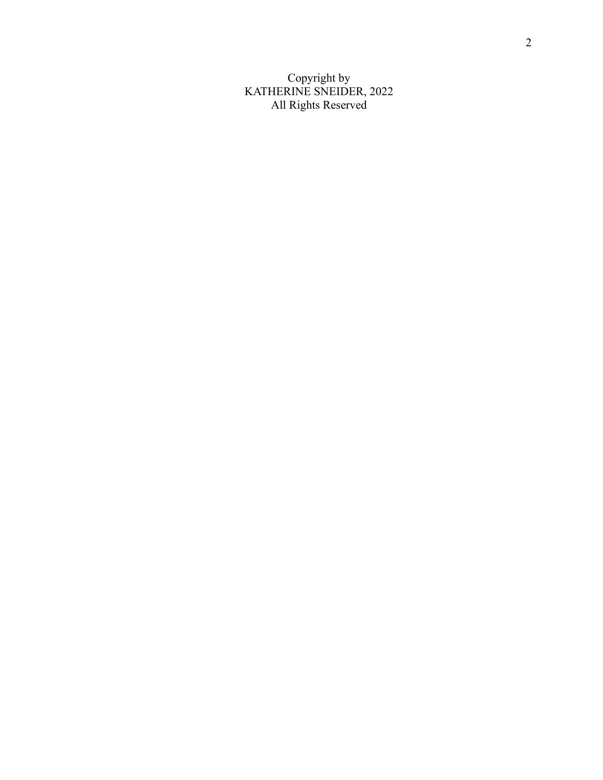Copyright by KATHERINE SNEIDER, 2022 All Rights Reserved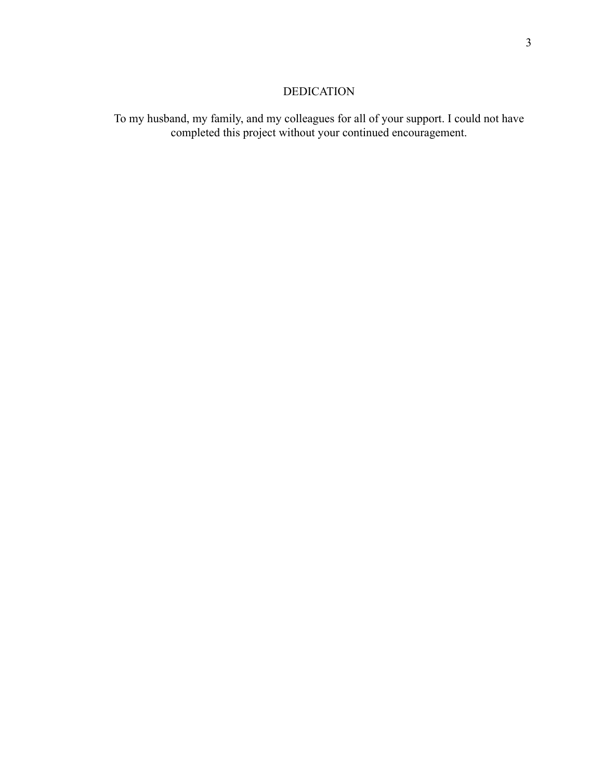## DEDICATION

To my husband, my family, and my colleagues for all of your support. I could not have completed this project without your continued encouragement.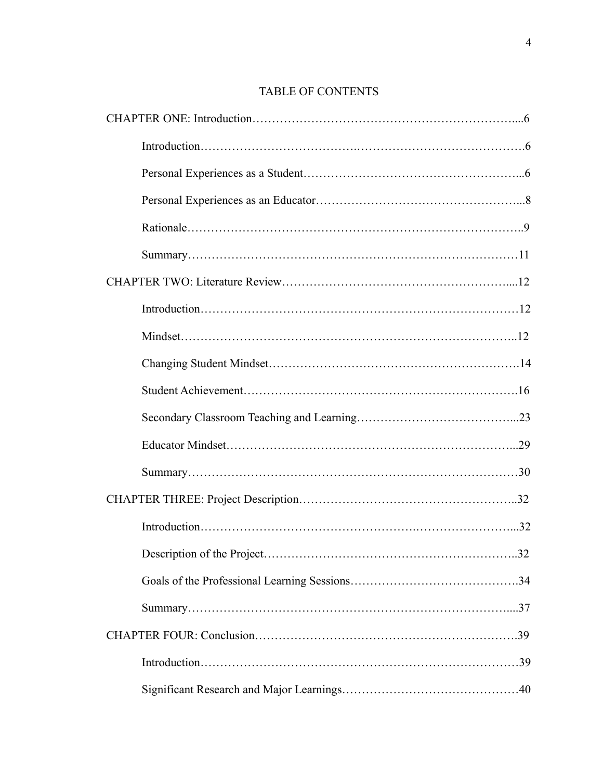## TABLE OF CONTENTS

| 32 |
|----|
|    |
|    |
|    |
|    |
|    |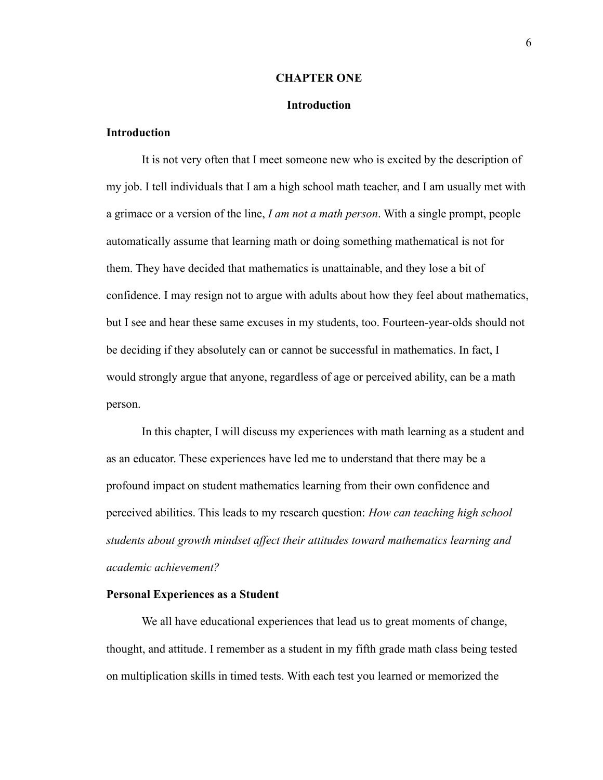#### **CHAPTER ONE**

#### **Introduction**

## **Introduction**

It is not very often that I meet someone new who is excited by the description of my job. I tell individuals that I am a high school math teacher, and I am usually met with a grimace or a version of the line, *I am not a math person*. With a single prompt, people automatically assume that learning math or doing something mathematical is not for them. They have decided that mathematics is unattainable, and they lose a bit of confidence. I may resign not to argue with adults about how they feel about mathematics, but I see and hear these same excuses in my students, too. Fourteen-year-olds should not be deciding if they absolutely can or cannot be successful in mathematics. In fact, I would strongly argue that anyone, regardless of age or perceived ability, can be a math person.

In this chapter, I will discuss my experiences with math learning as a student and as an educator. These experiences have led me to understand that there may be a profound impact on student mathematics learning from their own confidence and perceived abilities. This leads to my research question: *How can teaching high school students about growth mindset affect their attitudes toward mathematics learning and academic achievement?*

#### **Personal Experiences as a Student**

We all have educational experiences that lead us to great moments of change, thought, and attitude. I remember as a student in my fifth grade math class being tested on multiplication skills in timed tests. With each test you learned or memorized the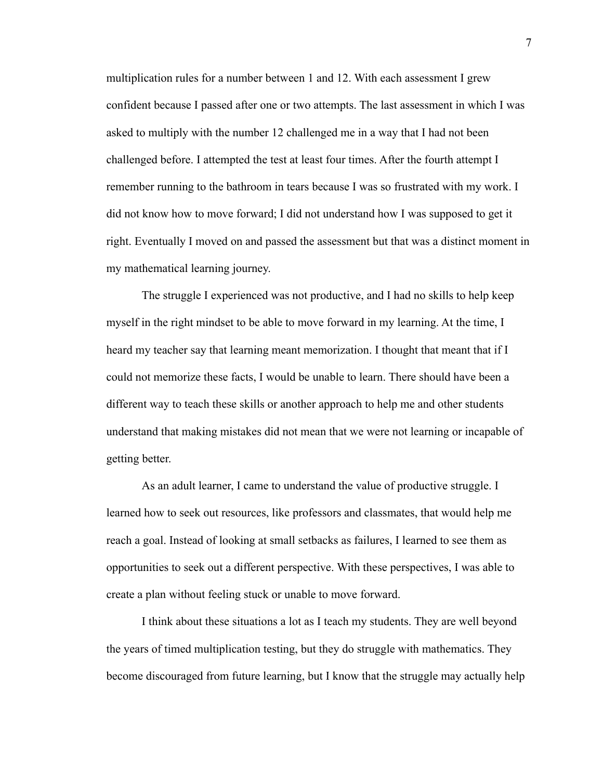multiplication rules for a number between 1 and 12. With each assessment I grew confident because I passed after one or two attempts. The last assessment in which I was asked to multiply with the number 12 challenged me in a way that I had not been challenged before. I attempted the test at least four times. After the fourth attempt I remember running to the bathroom in tears because I was so frustrated with my work. I did not know how to move forward; I did not understand how I was supposed to get it right. Eventually I moved on and passed the assessment but that was a distinct moment in my mathematical learning journey.

The struggle I experienced was not productive, and I had no skills to help keep myself in the right mindset to be able to move forward in my learning. At the time, I heard my teacher say that learning meant memorization. I thought that meant that if I could not memorize these facts, I would be unable to learn. There should have been a different way to teach these skills or another approach to help me and other students understand that making mistakes did not mean that we were not learning or incapable of getting better.

As an adult learner, I came to understand the value of productive struggle. I learned how to seek out resources, like professors and classmates, that would help me reach a goal. Instead of looking at small setbacks as failures, I learned to see them as opportunities to seek out a different perspective. With these perspectives, I was able to create a plan without feeling stuck or unable to move forward.

I think about these situations a lot as I teach my students. They are well beyond the years of timed multiplication testing, but they do struggle with mathematics. They become discouraged from future learning, but I know that the struggle may actually help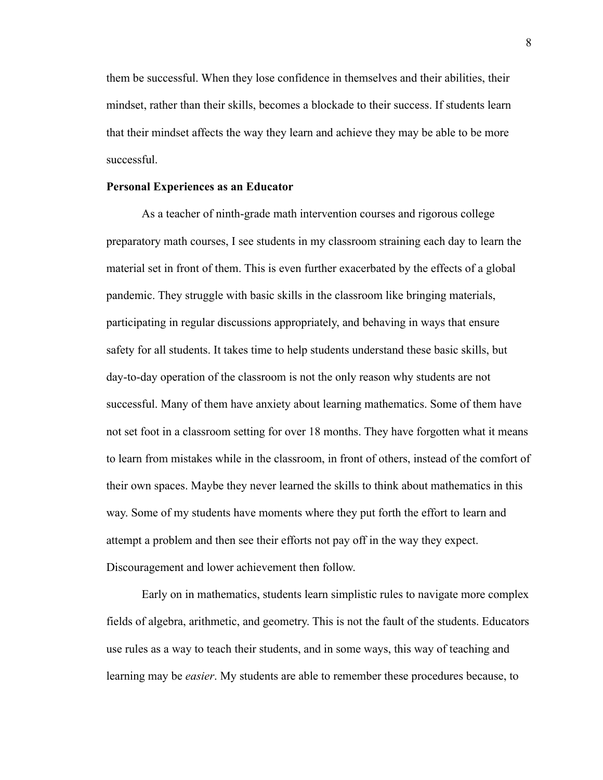them be successful. When they lose confidence in themselves and their abilities, their mindset, rather than their skills, becomes a blockade to their success. If students learn that their mindset affects the way they learn and achieve they may be able to be more successful.

#### **Personal Experiences as an Educator**

As a teacher of ninth-grade math intervention courses and rigorous college preparatory math courses, I see students in my classroom straining each day to learn the material set in front of them. This is even further exacerbated by the effects of a global pandemic. They struggle with basic skills in the classroom like bringing materials, participating in regular discussions appropriately, and behaving in ways that ensure safety for all students. It takes time to help students understand these basic skills, but day-to-day operation of the classroom is not the only reason why students are not successful. Many of them have anxiety about learning mathematics. Some of them have not set foot in a classroom setting for over 18 months. They have forgotten what it means to learn from mistakes while in the classroom, in front of others, instead of the comfort of their own spaces. Maybe they never learned the skills to think about mathematics in this way. Some of my students have moments where they put forth the effort to learn and attempt a problem and then see their efforts not pay off in the way they expect. Discouragement and lower achievement then follow.

Early on in mathematics, students learn simplistic rules to navigate more complex fields of algebra, arithmetic, and geometry. This is not the fault of the students. Educators use rules as a way to teach their students, and in some ways, this way of teaching and learning may be *easier*. My students are able to remember these procedures because, to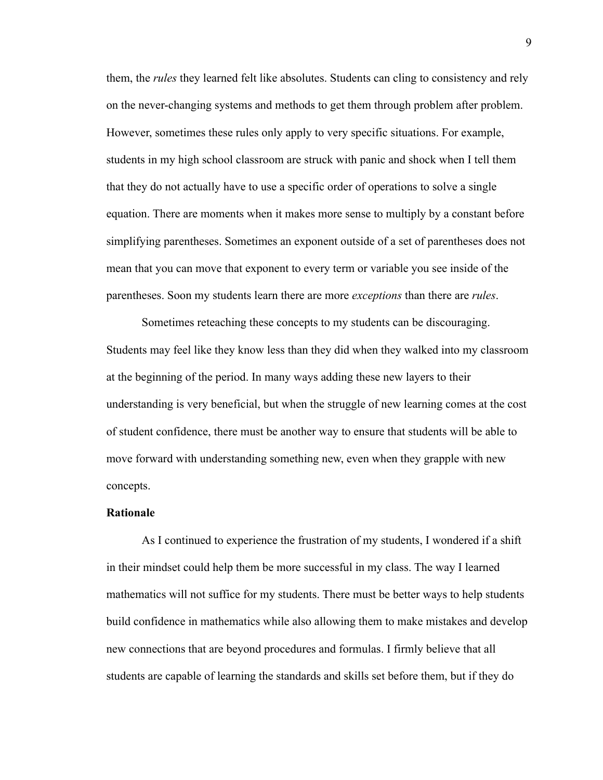them, the *rules* they learned felt like absolutes. Students can cling to consistency and rely on the never-changing systems and methods to get them through problem after problem. However, sometimes these rules only apply to very specific situations. For example, students in my high school classroom are struck with panic and shock when I tell them that they do not actually have to use a specific order of operations to solve a single equation. There are moments when it makes more sense to multiply by a constant before simplifying parentheses. Sometimes an exponent outside of a set of parentheses does not mean that you can move that exponent to every term or variable you see inside of the parentheses. Soon my students learn there are more *exceptions* than there are *rules*.

Sometimes reteaching these concepts to my students can be discouraging. Students may feel like they know less than they did when they walked into my classroom at the beginning of the period. In many ways adding these new layers to their understanding is very beneficial, but when the struggle of new learning comes at the cost of student confidence, there must be another way to ensure that students will be able to move forward with understanding something new, even when they grapple with new concepts.

## **Rationale**

As I continued to experience the frustration of my students, I wondered if a shift in their mindset could help them be more successful in my class. The way I learned mathematics will not suffice for my students. There must be better ways to help students build confidence in mathematics while also allowing them to make mistakes and develop new connections that are beyond procedures and formulas. I firmly believe that all students are capable of learning the standards and skills set before them, but if they do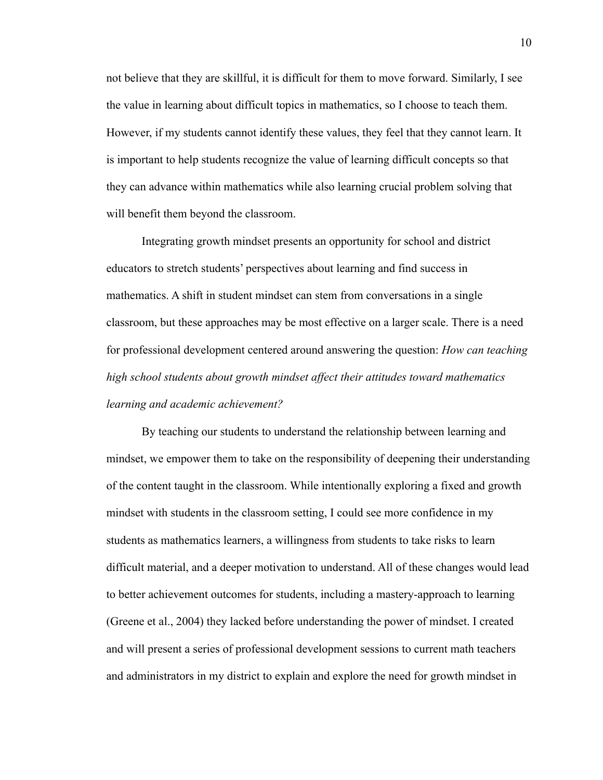not believe that they are skillful, it is difficult for them to move forward. Similarly, I see the value in learning about difficult topics in mathematics, so I choose to teach them. However, if my students cannot identify these values, they feel that they cannot learn. It is important to help students recognize the value of learning difficult concepts so that they can advance within mathematics while also learning crucial problem solving that will benefit them beyond the classroom.

Integrating growth mindset presents an opportunity for school and district educators to stretch students' perspectives about learning and find success in mathematics. A shift in student mindset can stem from conversations in a single classroom, but these approaches may be most effective on a larger scale. There is a need for professional development centered around answering the question: *How can teaching high school students about growth mindset affect their attitudes toward mathematics learning and academic achievement?*

By teaching our students to understand the relationship between learning and mindset, we empower them to take on the responsibility of deepening their understanding of the content taught in the classroom. While intentionally exploring a fixed and growth mindset with students in the classroom setting, I could see more confidence in my students as mathematics learners, a willingness from students to take risks to learn difficult material, and a deeper motivation to understand. All of these changes would lead to better achievement outcomes for students, including a mastery-approach to learning (Greene et al., 2004) they lacked before understanding the power of mindset. I created and will present a series of professional development sessions to current math teachers and administrators in my district to explain and explore the need for growth mindset in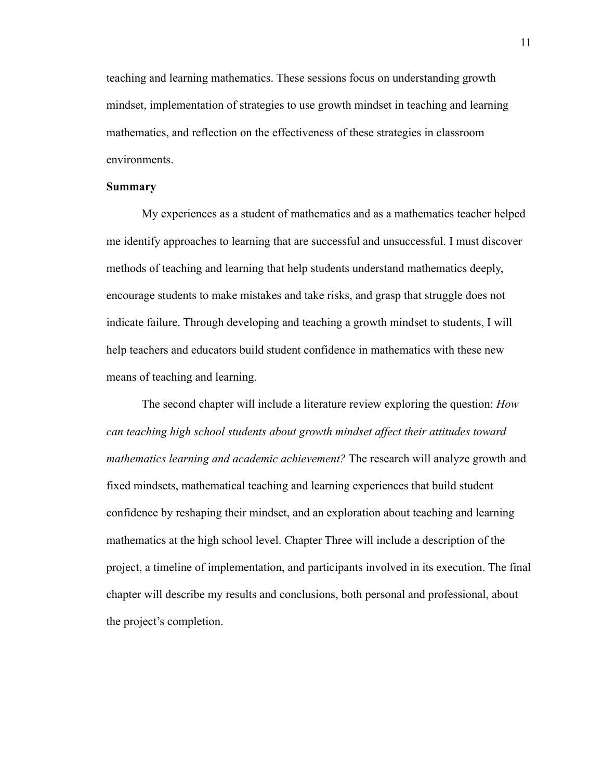teaching and learning mathematics. These sessions focus on understanding growth mindset, implementation of strategies to use growth mindset in teaching and learning mathematics, and reflection on the effectiveness of these strategies in classroom environments.

#### **Summary**

My experiences as a student of mathematics and as a mathematics teacher helped me identify approaches to learning that are successful and unsuccessful. I must discover methods of teaching and learning that help students understand mathematics deeply, encourage students to make mistakes and take risks, and grasp that struggle does not indicate failure. Through developing and teaching a growth mindset to students, I will help teachers and educators build student confidence in mathematics with these new means of teaching and learning.

The second chapter will include a literature review exploring the question: *How can teaching high school students about growth mindset affect their attitudes toward mathematics learning and academic achievement?* The research will analyze growth and fixed mindsets, mathematical teaching and learning experiences that build student confidence by reshaping their mindset, and an exploration about teaching and learning mathematics at the high school level. Chapter Three will include a description of the project, a timeline of implementation, and participants involved in its execution. The final chapter will describe my results and conclusions, both personal and professional, about the project's completion.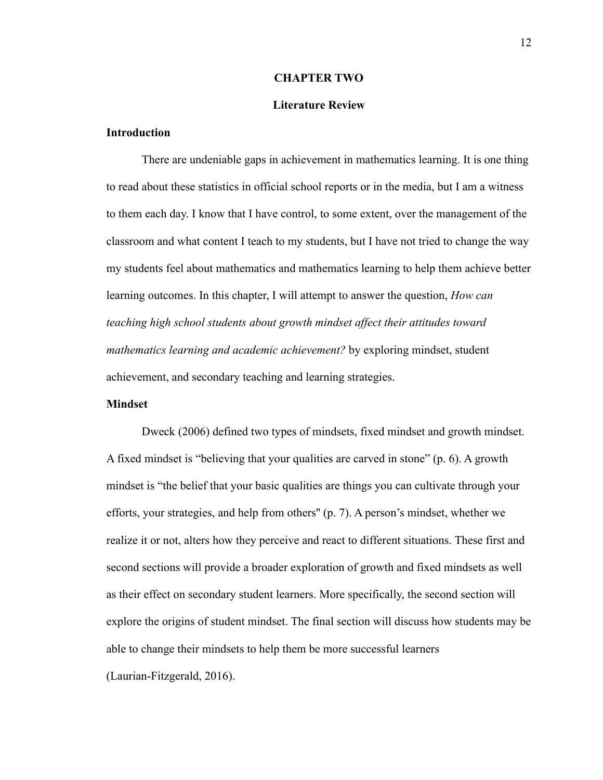#### **CHAPTER TWO**

#### **Literature Review**

## **Introduction**

There are undeniable gaps in achievement in mathematics learning. It is one thing to read about these statistics in official school reports or in the media, but I am a witness to them each day. I know that I have control, to some extent, over the management of the classroom and what content I teach to my students, but I have not tried to change the way my students feel about mathematics and mathematics learning to help them achieve better learning outcomes. In this chapter, I will attempt to answer the question, *How can teaching high school students about growth mindset affect their attitudes toward mathematics learning and academic achievement?* by exploring mindset, student achievement, and secondary teaching and learning strategies.

## **Mindset**

Dweck (2006) defined two types of mindsets, fixed mindset and growth mindset. A fixed mindset is "believing that your qualities are carved in stone" (p. 6). A growth mindset is "the belief that your basic qualities are things you can cultivate through your efforts, your strategies, and help from others'' (p. 7). A person's mindset, whether we realize it or not, alters how they perceive and react to different situations. These first and second sections will provide a broader exploration of growth and fixed mindsets as well as their effect on secondary student learners. More specifically, the second section will explore the origins of student mindset. The final section will discuss how students may be able to change their mindsets to help them be more successful learners (Laurian-Fitzgerald, 2016).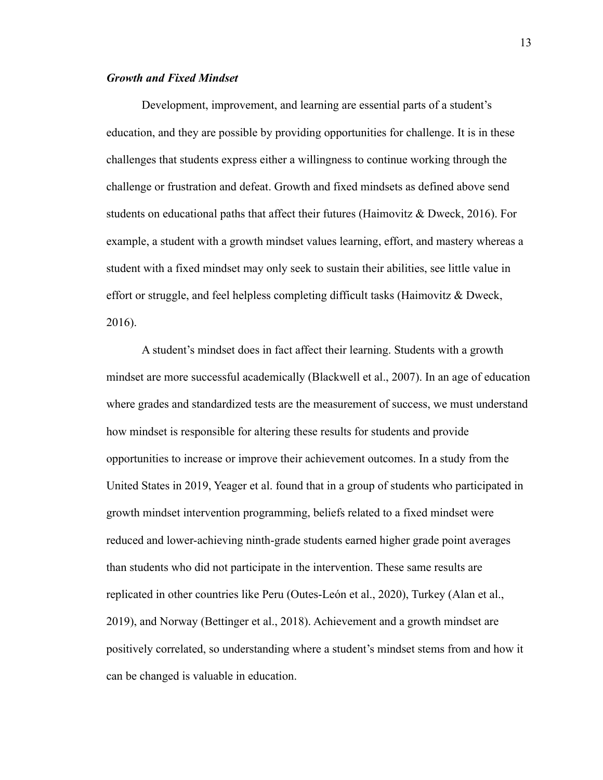## *Growth and Fixed Mindset*

Development, improvement, and learning are essential parts of a student's education, and they are possible by providing opportunities for challenge. It is in these challenges that students express either a willingness to continue working through the challenge or frustration and defeat. Growth and fixed mindsets as defined above send students on educational paths that affect their futures (Haimovitz & Dweck, 2016). For example, a student with a growth mindset values learning, effort, and mastery whereas a student with a fixed mindset may only seek to sustain their abilities, see little value in effort or struggle, and feel helpless completing difficult tasks (Haimovitz & Dweck, 2016).

A student's mindset does in fact affect their learning. Students with a growth mindset are more successful academically (Blackwell et al., 2007). In an age of education where grades and standardized tests are the measurement of success, we must understand how mindset is responsible for altering these results for students and provide opportunities to increase or improve their achievement outcomes. In a study from the United States in 2019, Yeager et al. found that in a group of students who participated in growth mindset intervention programming, beliefs related to a fixed mindset were reduced and lower-achieving ninth-grade students earned higher grade point averages than students who did not participate in the intervention. These same results are replicated in other countries like Peru (Outes-León et al., 2020), Turkey (Alan et al., 2019), and Norway (Bettinger et al., 2018). Achievement and a growth mindset are positively correlated, so understanding where a student's mindset stems from and how it can be changed is valuable in education.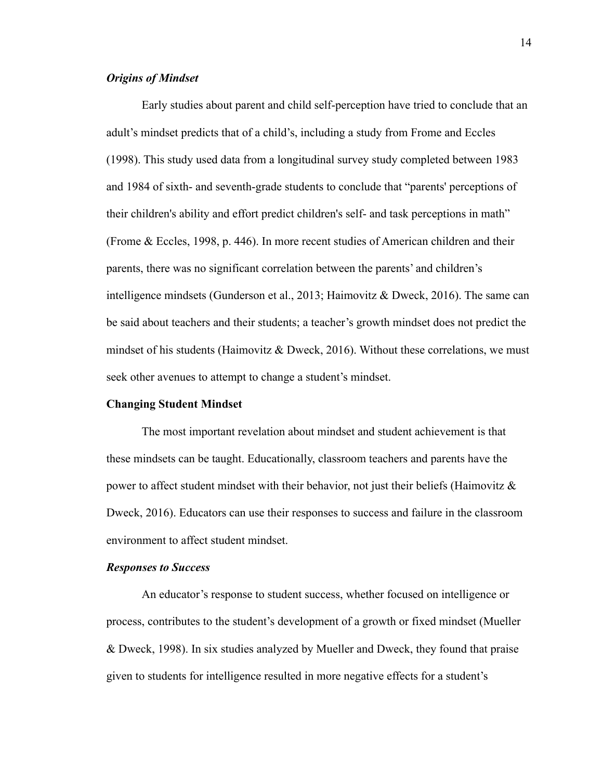## *Origins of Mindset*

Early studies about parent and child self-perception have tried to conclude that an adult's mindset predicts that of a child's, including a study from Frome and Eccles (1998). This study used data from a longitudinal survey study completed between 1983 and 1984 of sixth- and seventh-grade students to conclude that "parents' perceptions of their children's ability and effort predict children's self- and task perceptions in math" (Frome & Eccles, 1998, p. 446). In more recent studies of American children and their parents, there was no significant correlation between the parents' and children's intelligence mindsets (Gunderson et al., 2013; Haimovitz & Dweck, 2016). The same can be said about teachers and their students; a teacher's growth mindset does not predict the mindset of his students (Haimovitz  $\&$  Dweck, 2016). Without these correlations, we must seek other avenues to attempt to change a student's mindset.

## **Changing Student Mindset**

The most important revelation about mindset and student achievement is that these mindsets can be taught. Educationally, classroom teachers and parents have the power to affect student mindset with their behavior, not just their beliefs (Haimovitz  $\&$ Dweck, 2016). Educators can use their responses to success and failure in the classroom environment to affect student mindset.

#### *Responses to Success*

An educator's response to student success, whether focused on intelligence or process, contributes to the student's development of a growth or fixed mindset (Mueller & Dweck, 1998). In six studies analyzed by Mueller and Dweck, they found that praise given to students for intelligence resulted in more negative effects for a student's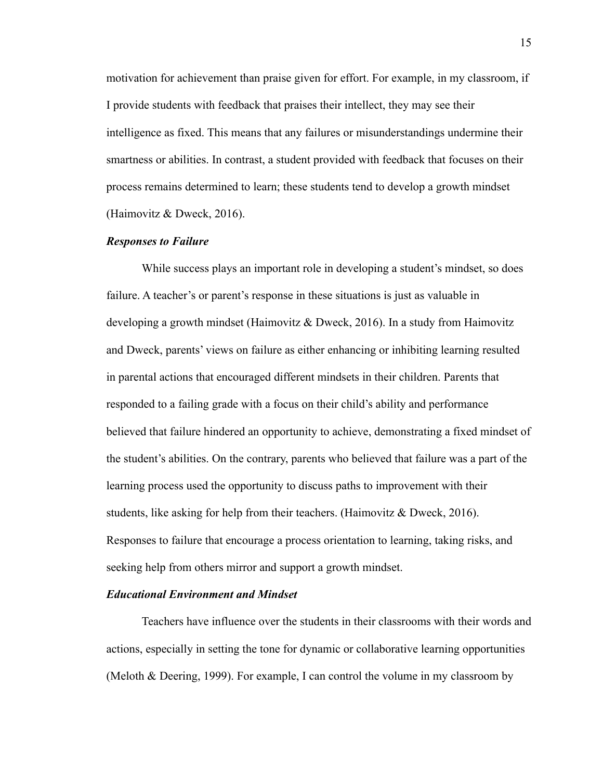motivation for achievement than praise given for effort. For example, in my classroom, if I provide students with feedback that praises their intellect, they may see their intelligence as fixed. This means that any failures or misunderstandings undermine their smartness or abilities. In contrast, a student provided with feedback that focuses on their process remains determined to learn; these students tend to develop a growth mindset (Haimovitz & Dweck, 2016).

#### *Responses to Failure*

While success plays an important role in developing a student's mindset, so does failure. A teacher's or parent's response in these situations is just as valuable in developing a growth mindset (Haimovitz & Dweck, 2016). In a study from Haimovitz and Dweck, parents' views on failure as either enhancing or inhibiting learning resulted in parental actions that encouraged different mindsets in their children. Parents that responded to a failing grade with a focus on their child's ability and performance believed that failure hindered an opportunity to achieve, demonstrating a fixed mindset of the student's abilities. On the contrary, parents who believed that failure was a part of the learning process used the opportunity to discuss paths to improvement with their students, like asking for help from their teachers. (Haimovitz & Dweck, 2016). Responses to failure that encourage a process orientation to learning, taking risks, and seeking help from others mirror and support a growth mindset.

#### *Educational Environment and Mindset*

Teachers have influence over the students in their classrooms with their words and actions, especially in setting the tone for dynamic or collaborative learning opportunities (Meloth & Deering, 1999). For example, I can control the volume in my classroom by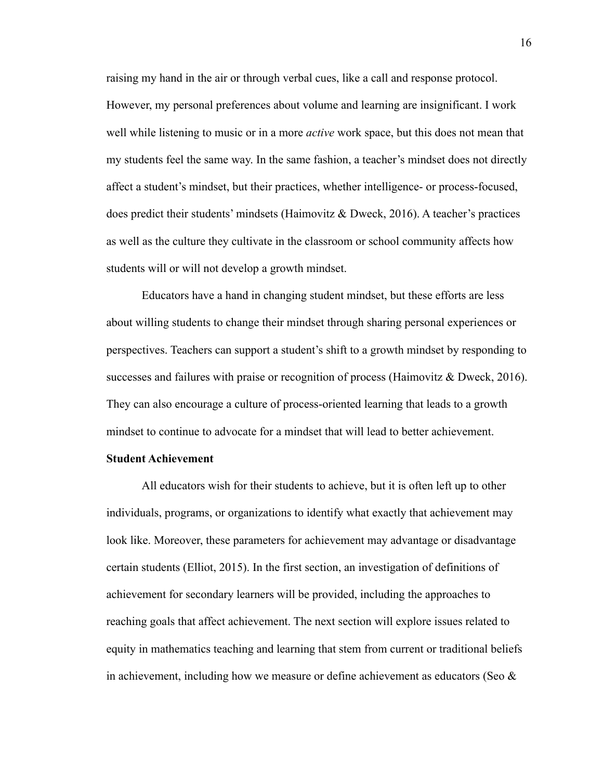raising my hand in the air or through verbal cues, like a call and response protocol. However, my personal preferences about volume and learning are insignificant. I work well while listening to music or in a more *active* work space, but this does not mean that my students feel the same way. In the same fashion, a teacher's mindset does not directly affect a student's mindset, but their practices, whether intelligence- or process-focused, does predict their students' mindsets (Haimovitz & Dweck, 2016). A teacher's practices as well as the culture they cultivate in the classroom or school community affects how students will or will not develop a growth mindset.

Educators have a hand in changing student mindset, but these efforts are less about willing students to change their mindset through sharing personal experiences or perspectives. Teachers can support a student's shift to a growth mindset by responding to successes and failures with praise or recognition of process (Haimovitz & Dweck, 2016). They can also encourage a culture of process-oriented learning that leads to a growth mindset to continue to advocate for a mindset that will lead to better achievement.

## **Student Achievement**

All educators wish for their students to achieve, but it is often left up to other individuals, programs, or organizations to identify what exactly that achievement may look like. Moreover, these parameters for achievement may advantage or disadvantage certain students (Elliot, 2015). In the first section, an investigation of definitions of achievement for secondary learners will be provided, including the approaches to reaching goals that affect achievement. The next section will explore issues related to equity in mathematics teaching and learning that stem from current or traditional beliefs in achievement, including how we measure or define achievement as educators (Seo  $\&$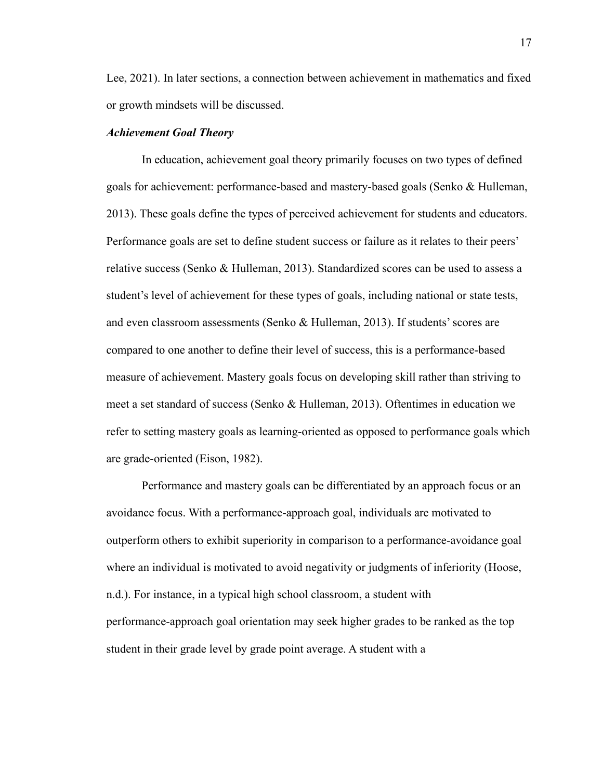Lee, 2021). In later sections, a connection between achievement in mathematics and fixed or growth mindsets will be discussed.

## *Achievement Goal Theory*

In education, achievement goal theory primarily focuses on two types of defined goals for achievement: performance-based and mastery-based goals (Senko & Hulleman, 2013). These goals define the types of perceived achievement for students and educators. Performance goals are set to define student success or failure as it relates to their peers' relative success (Senko & Hulleman, 2013). Standardized scores can be used to assess a student's level of achievement for these types of goals, including national or state tests, and even classroom assessments (Senko & Hulleman, 2013). If students' scores are compared to one another to define their level of success, this is a performance-based measure of achievement. Mastery goals focus on developing skill rather than striving to meet a set standard of success (Senko & Hulleman, 2013). Oftentimes in education we refer to setting mastery goals as learning-oriented as opposed to performance goals which are grade-oriented (Eison, 1982).

Performance and mastery goals can be differentiated by an approach focus or an avoidance focus. With a performance-approach goal, individuals are motivated to outperform others to exhibit superiority in comparison to a performance-avoidance goal where an individual is motivated to avoid negativity or judgments of inferiority (Hoose, n.d.). For instance, in a typical high school classroom, a student with performance-approach goal orientation may seek higher grades to be ranked as the top student in their grade level by grade point average. A student with a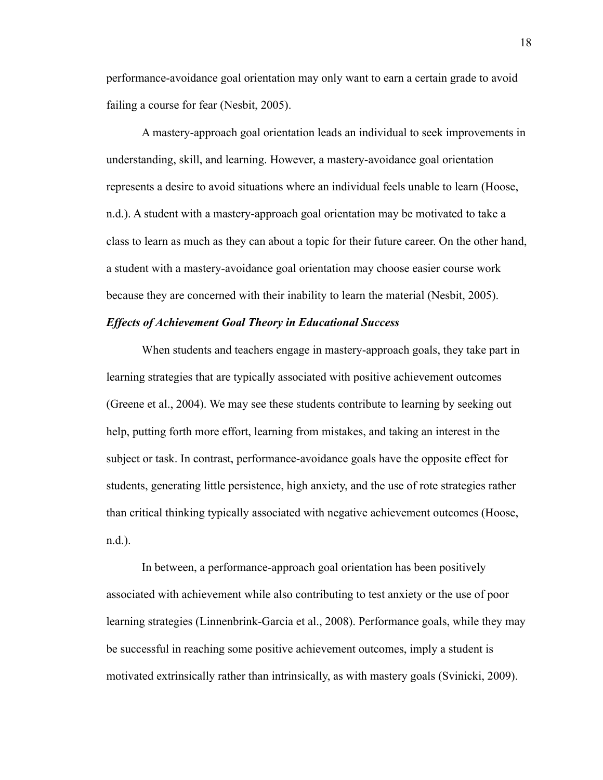performance-avoidance goal orientation may only want to earn a certain grade to avoid failing a course for fear (Nesbit, 2005).

A mastery-approach goal orientation leads an individual to seek improvements in understanding, skill, and learning. However, a mastery-avoidance goal orientation represents a desire to avoid situations where an individual feels unable to learn (Hoose, n.d.). A student with a mastery-approach goal orientation may be motivated to take a class to learn as much as they can about a topic for their future career. On the other hand, a student with a mastery-avoidance goal orientation may choose easier course work because they are concerned with their inability to learn the material (Nesbit, 2005).

#### *Effects of Achievement Goal Theory in Educational Success*

When students and teachers engage in mastery-approach goals, they take part in learning strategies that are typically associated with positive achievement outcomes (Greene et al., 2004). We may see these students contribute to learning by seeking out help, putting forth more effort, learning from mistakes, and taking an interest in the subject or task. In contrast, performance-avoidance goals have the opposite effect for students, generating little persistence, high anxiety, and the use of rote strategies rather than critical thinking typically associated with negative achievement outcomes (Hoose, n.d.).

In between, a performance-approach goal orientation has been positively associated with achievement while also contributing to test anxiety or the use of poor learning strategies (Linnenbrink-Garcia et al., 2008). Performance goals, while they may be successful in reaching some positive achievement outcomes, imply a student is motivated extrinsically rather than intrinsically, as with mastery goals (Svinicki, 2009).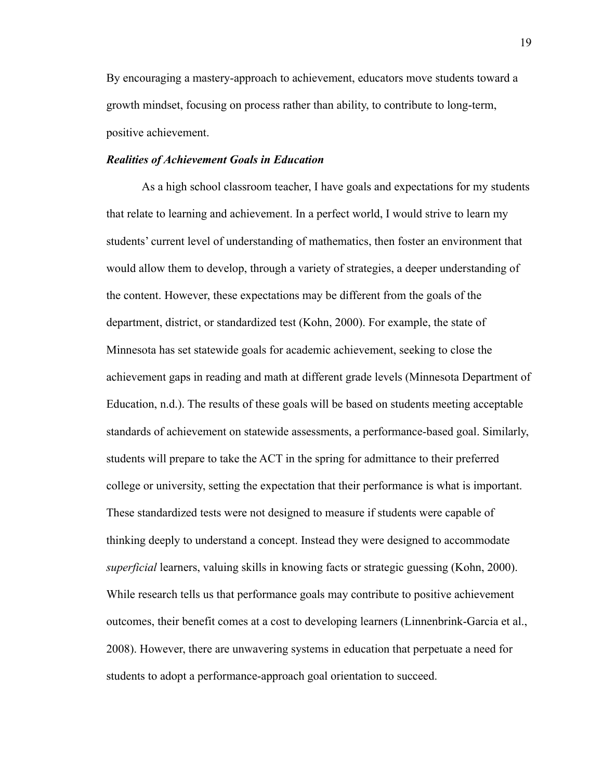By encouraging a mastery-approach to achievement, educators move students toward a growth mindset, focusing on process rather than ability, to contribute to long-term, positive achievement.

## *Realities of Achievement Goals in Education*

As a high school classroom teacher, I have goals and expectations for my students that relate to learning and achievement. In a perfect world, I would strive to learn my students' current level of understanding of mathematics, then foster an environment that would allow them to develop, through a variety of strategies, a deeper understanding of the content. However, these expectations may be different from the goals of the department, district, or standardized test (Kohn, 2000). For example, the state of Minnesota has set statewide goals for academic achievement, seeking to close the achievement gaps in reading and math at different grade levels (Minnesota Department of Education, n.d.). The results of these goals will be based on students meeting acceptable standards of achievement on statewide assessments, a performance-based goal. Similarly, students will prepare to take the ACT in the spring for admittance to their preferred college or university, setting the expectation that their performance is what is important. These standardized tests were not designed to measure if students were capable of thinking deeply to understand a concept. Instead they were designed to accommodate *superficial* learners, valuing skills in knowing facts or strategic guessing (Kohn, 2000). While research tells us that performance goals may contribute to positive achievement outcomes, their benefit comes at a cost to developing learners (Linnenbrink-Garcia et al., 2008). However, there are unwavering systems in education that perpetuate a need for students to adopt a performance-approach goal orientation to succeed.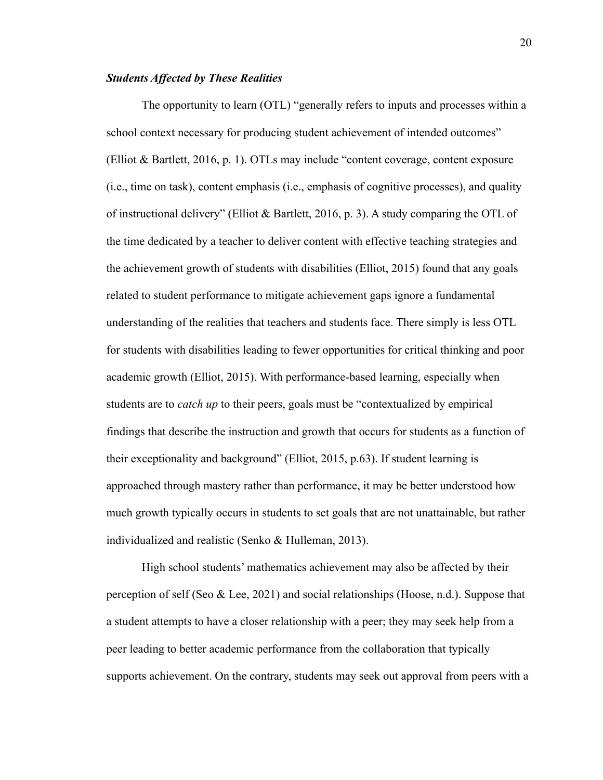## *Students Affected by These Realities*

The opportunity to learn (OTL) "generally refers to inputs and processes within a school context necessary for producing student achievement of intended outcomes" (Elliot & Bartlett, 2016, p. 1). OTLs may include "content coverage, content exposure (i.e., time on task), content emphasis (i.e., emphasis of cognitive processes), and quality of instructional delivery" (Elliot & Bartlett, 2016, p. 3). A study comparing the OTL of the time dedicated by a teacher to deliver content with effective teaching strategies and the achievement growth of students with disabilities (Elliot, 2015) found that any goals related to student performance to mitigate achievement gaps ignore a fundamental understanding of the realities that teachers and students face. There simply is less OTL for students with disabilities leading to fewer opportunities for critical thinking and poor academic growth (Elliot, 2015). With performance-based learning, especially when students are to *catch up* to their peers, goals must be "contextualized by empirical findings that describe the instruction and growth that occurs for students as a function of their exceptionality and background" (Elliot, 2015, p.63). If student learning is approached through mastery rather than performance, it may be better understood how much growth typically occurs in students to set goals that are not unattainable, but rather individualized and realistic (Senko & Hulleman, 2013).

High school students' mathematics achievement may also be affected by their perception of self (Seo & Lee, 2021) and social relationships (Hoose, n.d.). Suppose that a student attempts to have a closer relationship with a peer; they may seek help from a peer leading to better academic performance from the collaboration that typically supports achievement. On the contrary, students may seek out approval from peers with a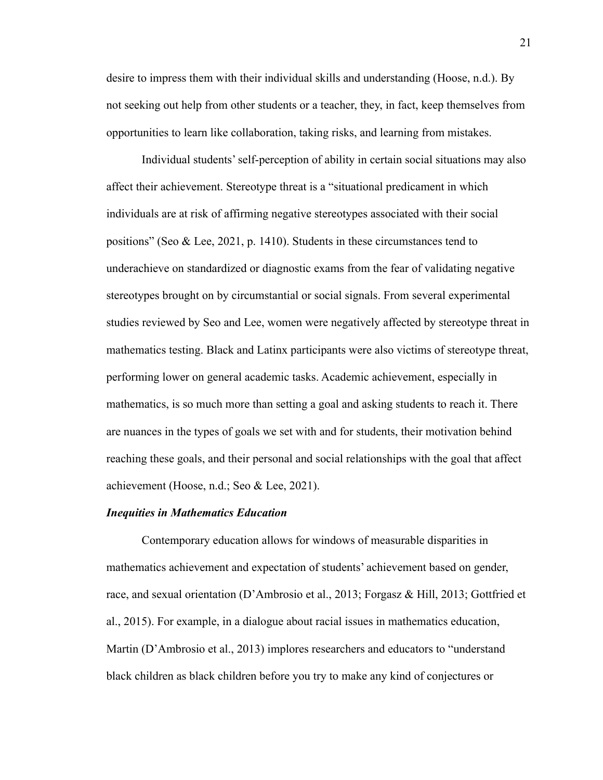desire to impress them with their individual skills and understanding (Hoose, n.d.). By not seeking out help from other students or a teacher, they, in fact, keep themselves from opportunities to learn like collaboration, taking risks, and learning from mistakes.

Individual students' self-perception of ability in certain social situations may also affect their achievement. Stereotype threat is a "situational predicament in which individuals are at risk of affirming negative stereotypes associated with their social positions" (Seo & Lee, 2021, p. 1410). Students in these circumstances tend to underachieve on standardized or diagnostic exams from the fear of validating negative stereotypes brought on by circumstantial or social signals. From several experimental studies reviewed by Seo and Lee, women were negatively affected by stereotype threat in mathematics testing. Black and Latinx participants were also victims of stereotype threat, performing lower on general academic tasks. Academic achievement, especially in mathematics, is so much more than setting a goal and asking students to reach it. There are nuances in the types of goals we set with and for students, their motivation behind reaching these goals, and their personal and social relationships with the goal that affect achievement (Hoose, n.d.; Seo & Lee, 2021).

## *Inequities in Mathematics Education*

Contemporary education allows for windows of measurable disparities in mathematics achievement and expectation of students' achievement based on gender, race, and sexual orientation (D'Ambrosio et al., 2013; Forgasz & Hill, 2013; Gottfried et al., 2015). For example, in a dialogue about racial issues in mathematics education, Martin (D'Ambrosio et al., 2013) implores researchers and educators to "understand black children as black children before you try to make any kind of conjectures or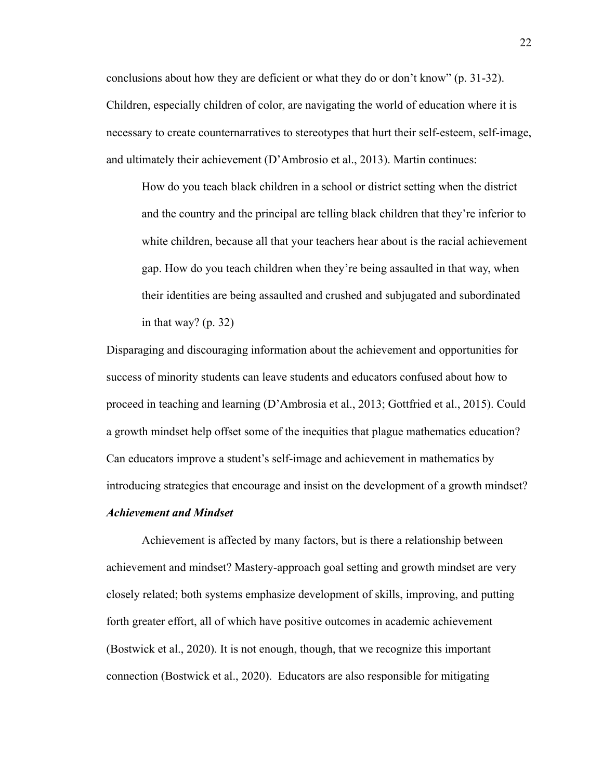conclusions about how they are deficient or what they do or don't know" (p. 31-32). Children, especially children of color, are navigating the world of education where it is necessary to create counternarratives to stereotypes that hurt their self-esteem, self-image, and ultimately their achievement (D'Ambrosio et al., 2013). Martin continues:

How do you teach black children in a school or district setting when the district and the country and the principal are telling black children that they're inferior to white children, because all that your teachers hear about is the racial achievement gap. How do you teach children when they're being assaulted in that way, when their identities are being assaulted and crushed and subjugated and subordinated in that way? (p. 32)

Disparaging and discouraging information about the achievement and opportunities for success of minority students can leave students and educators confused about how to proceed in teaching and learning (D'Ambrosia et al., 2013; Gottfried et al., 2015). Could a growth mindset help offset some of the inequities that plague mathematics education? Can educators improve a student's self-image and achievement in mathematics by introducing strategies that encourage and insist on the development of a growth mindset?

#### *Achievement and Mindset*

Achievement is affected by many factors, but is there a relationship between achievement and mindset? Mastery-approach goal setting and growth mindset are very closely related; both systems emphasize development of skills, improving, and putting forth greater effort, all of which have positive outcomes in academic achievement (Bostwick et al., 2020). It is not enough, though, that we recognize this important connection (Bostwick et al., 2020). Educators are also responsible for mitigating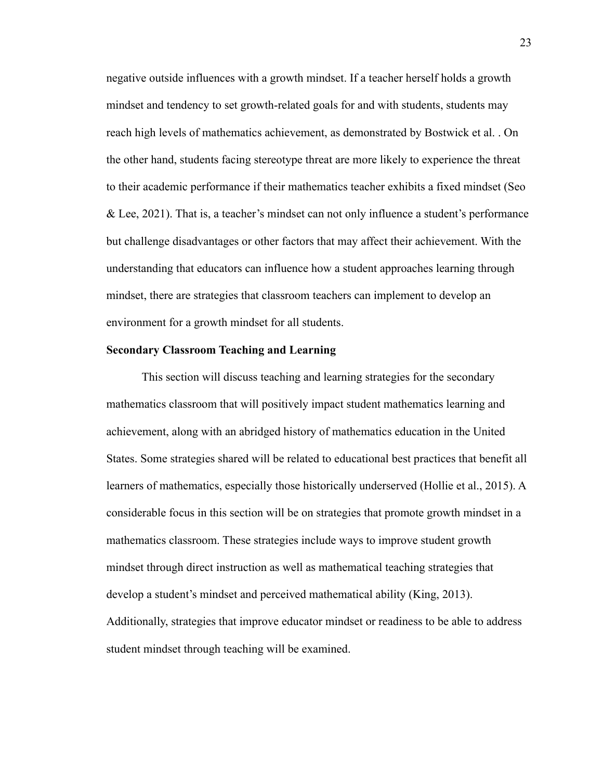negative outside influences with a growth mindset. If a teacher herself holds a growth mindset and tendency to set growth-related goals for and with students, students may reach high levels of mathematics achievement, as demonstrated by Bostwick et al. . On the other hand, students facing stereotype threat are more likely to experience the threat to their academic performance if their mathematics teacher exhibits a fixed mindset (Seo & Lee, 2021). That is, a teacher's mindset can not only influence a student's performance but challenge disadvantages or other factors that may affect their achievement. With the understanding that educators can influence how a student approaches learning through mindset, there are strategies that classroom teachers can implement to develop an environment for a growth mindset for all students.

#### **Secondary Classroom Teaching and Learning**

This section will discuss teaching and learning strategies for the secondary mathematics classroom that will positively impact student mathematics learning and achievement, along with an abridged history of mathematics education in the United States. Some strategies shared will be related to educational best practices that benefit all learners of mathematics, especially those historically underserved (Hollie et al., 2015). A considerable focus in this section will be on strategies that promote growth mindset in a mathematics classroom. These strategies include ways to improve student growth mindset through direct instruction as well as mathematical teaching strategies that develop a student's mindset and perceived mathematical ability (King, 2013). Additionally, strategies that improve educator mindset or readiness to be able to address student mindset through teaching will be examined.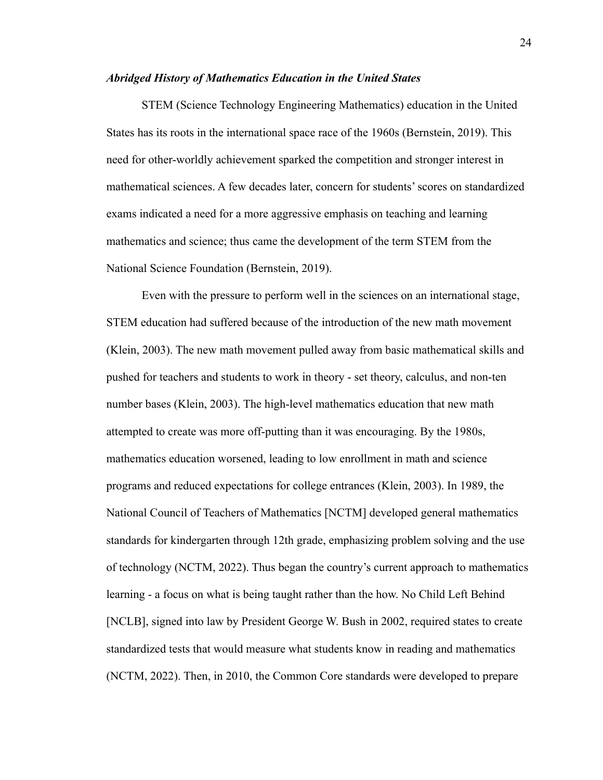## *Abridged History of Mathematics Education in the United States*

STEM (Science Technology Engineering Mathematics) education in the United States has its roots in the international space race of the 1960s (Bernstein, 2019). This need for other-worldly achievement sparked the competition and stronger interest in mathematical sciences. A few decades later, concern for students' scores on standardized exams indicated a need for a more aggressive emphasis on teaching and learning mathematics and science; thus came the development of the term STEM from the National Science Foundation (Bernstein, 2019).

Even with the pressure to perform well in the sciences on an international stage, STEM education had suffered because of the introduction of the new math movement (Klein, 2003). The new math movement pulled away from basic mathematical skills and pushed for teachers and students to work in theory - set theory, calculus, and non-ten number bases (Klein, 2003). The high-level mathematics education that new math attempted to create was more off-putting than it was encouraging. By the 1980s, mathematics education worsened, leading to low enrollment in math and science programs and reduced expectations for college entrances (Klein, 2003). In 1989, the National Council of Teachers of Mathematics [NCTM] developed general mathematics standards for kindergarten through 12th grade, emphasizing problem solving and the use of technology (NCTM, 2022). Thus began the country's current approach to mathematics learning - a focus on what is being taught rather than the how. No Child Left Behind [NCLB], signed into law by President George W. Bush in 2002, required states to create standardized tests that would measure what students know in reading and mathematics (NCTM, 2022). Then, in 2010, the Common Core standards were developed to prepare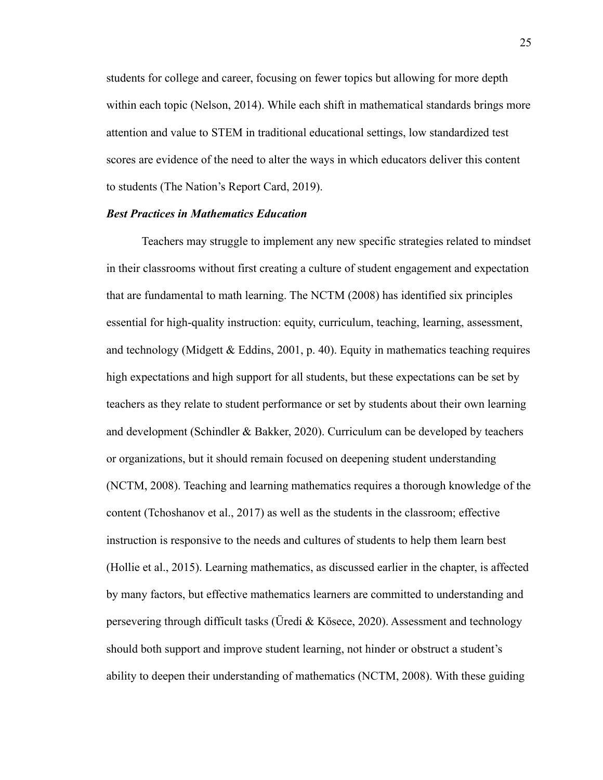students for college and career, focusing on fewer topics but allowing for more depth within each topic (Nelson, 2014). While each shift in mathematical standards brings more attention and value to STEM in traditional educational settings, low standardized test scores are evidence of the need to alter the ways in which educators deliver this content to students (The Nation's Report Card, 2019).

#### *Best Practices in Mathematics Education*

Teachers may struggle to implement any new specific strategies related to mindset in their classrooms without first creating a culture of student engagement and expectation that are fundamental to math learning. The NCTM (2008) has identified six principles essential for high-quality instruction: equity, curriculum, teaching, learning, assessment, and technology (Midgett & Eddins, 2001, p. 40). Equity in mathematics teaching requires high expectations and high support for all students, but these expectations can be set by teachers as they relate to student performance or set by students about their own learning and development (Schindler & Bakker, 2020). Curriculum can be developed by teachers or organizations, but it should remain focused on deepening student understanding (NCTM, 2008). Teaching and learning mathematics requires a thorough knowledge of the content (Tchoshanov et al., 2017) as well as the students in the classroom; effective instruction is responsive to the needs and cultures of students to help them learn best (Hollie et al., 2015). Learning mathematics, as discussed earlier in the chapter, is affected by many factors, but effective mathematics learners are committed to understanding and persevering through difficult tasks (Üredi & Kösece, 2020). Assessment and technology should both support and improve student learning, not hinder or obstruct a student's ability to deepen their understanding of mathematics (NCTM, 2008). With these guiding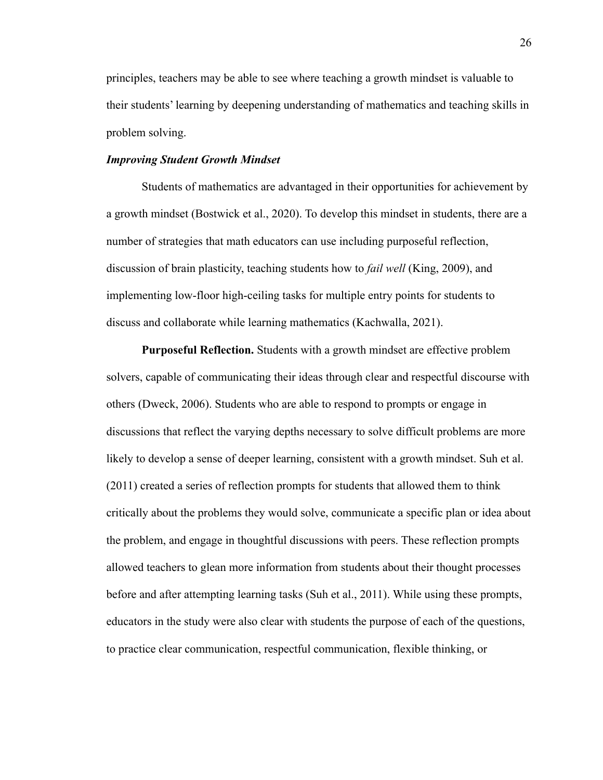principles, teachers may be able to see where teaching a growth mindset is valuable to their students' learning by deepening understanding of mathematics and teaching skills in problem solving.

#### *Improving Student Growth Mindset*

Students of mathematics are advantaged in their opportunities for achievement by a growth mindset (Bostwick et al., 2020). To develop this mindset in students, there are a number of strategies that math educators can use including purposeful reflection, discussion of brain plasticity, teaching students how to *fail well* (King, 2009), and implementing low-floor high-ceiling tasks for multiple entry points for students to discuss and collaborate while learning mathematics (Kachwalla, 2021).

**Purposeful Reflection.** Students with a growth mindset are effective problem solvers, capable of communicating their ideas through clear and respectful discourse with others (Dweck, 2006). Students who are able to respond to prompts or engage in discussions that reflect the varying depths necessary to solve difficult problems are more likely to develop a sense of deeper learning, consistent with a growth mindset. Suh et al. (2011) created a series of reflection prompts for students that allowed them to think critically about the problems they would solve, communicate a specific plan or idea about the problem, and engage in thoughtful discussions with peers. These reflection prompts allowed teachers to glean more information from students about their thought processes before and after attempting learning tasks (Suh et al., 2011). While using these prompts, educators in the study were also clear with students the purpose of each of the questions, to practice clear communication, respectful communication, flexible thinking, or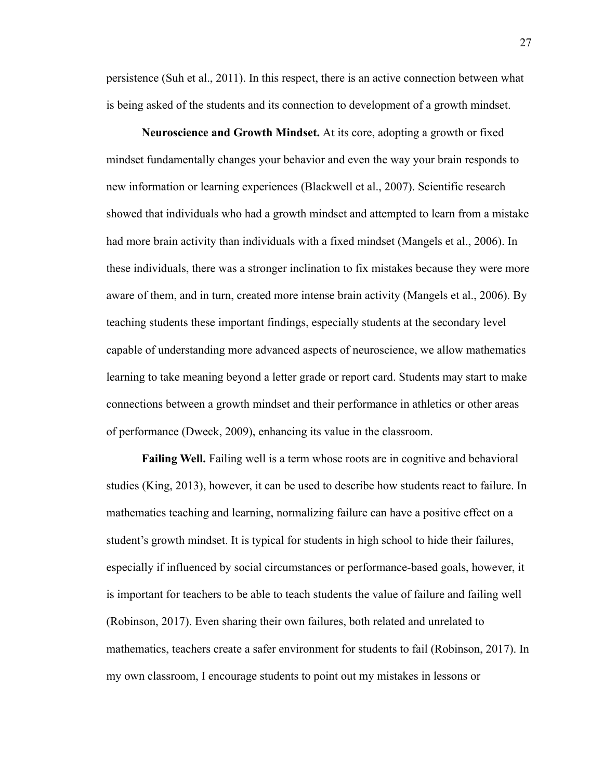persistence (Suh et al., 2011). In this respect, there is an active connection between what is being asked of the students and its connection to development of a growth mindset.

**Neuroscience and Growth Mindset.** At its core, adopting a growth or fixed mindset fundamentally changes your behavior and even the way your brain responds to new information or learning experiences (Blackwell et al., 2007). Scientific research showed that individuals who had a growth mindset and attempted to learn from a mistake had more brain activity than individuals with a fixed mindset (Mangels et al., 2006). In these individuals, there was a stronger inclination to fix mistakes because they were more aware of them, and in turn, created more intense brain activity (Mangels et al., 2006). By teaching students these important findings, especially students at the secondary level capable of understanding more advanced aspects of neuroscience, we allow mathematics learning to take meaning beyond a letter grade or report card. Students may start to make connections between a growth mindset and their performance in athletics or other areas of performance (Dweck, 2009), enhancing its value in the classroom.

**Failing Well.** Failing well is a term whose roots are in cognitive and behavioral studies (King, 2013), however, it can be used to describe how students react to failure. In mathematics teaching and learning, normalizing failure can have a positive effect on a student's growth mindset. It is typical for students in high school to hide their failures, especially if influenced by social circumstances or performance-based goals, however, it is important for teachers to be able to teach students the value of failure and failing well (Robinson, 2017). Even sharing their own failures, both related and unrelated to mathematics, teachers create a safer environment for students to fail (Robinson, 2017). In my own classroom, I encourage students to point out my mistakes in lessons or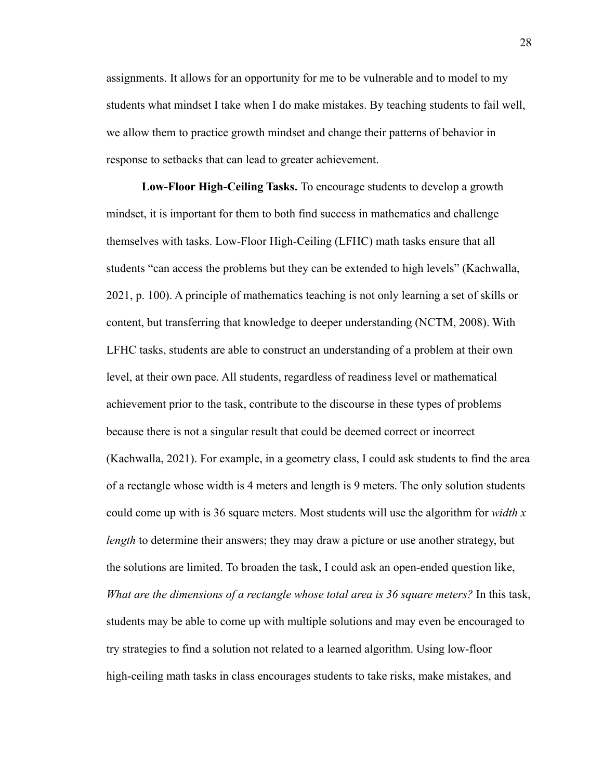assignments. It allows for an opportunity for me to be vulnerable and to model to my students what mindset I take when I do make mistakes. By teaching students to fail well, we allow them to practice growth mindset and change their patterns of behavior in response to setbacks that can lead to greater achievement.

**Low-Floor High-Ceiling Tasks.** To encourage students to develop a growth mindset, it is important for them to both find success in mathematics and challenge themselves with tasks. Low-Floor High-Ceiling (LFHC) math tasks ensure that all students "can access the problems but they can be extended to high levels" (Kachwalla, 2021, p. 100). A principle of mathematics teaching is not only learning a set of skills or content, but transferring that knowledge to deeper understanding (NCTM, 2008). With LFHC tasks, students are able to construct an understanding of a problem at their own level, at their own pace. All students, regardless of readiness level or mathematical achievement prior to the task, contribute to the discourse in these types of problems because there is not a singular result that could be deemed correct or incorrect (Kachwalla, 2021). For example, in a geometry class, I could ask students to find the area of a rectangle whose width is 4 meters and length is 9 meters. The only solution students could come up with is 36 square meters. Most students will use the algorithm for *width x length* to determine their answers; they may draw a picture or use another strategy, but the solutions are limited. To broaden the task, I could ask an open-ended question like, *What are the dimensions of a rectangle whose total area is 36 square meters?* In this task, students may be able to come up with multiple solutions and may even be encouraged to try strategies to find a solution not related to a learned algorithm. Using low-floor high-ceiling math tasks in class encourages students to take risks, make mistakes, and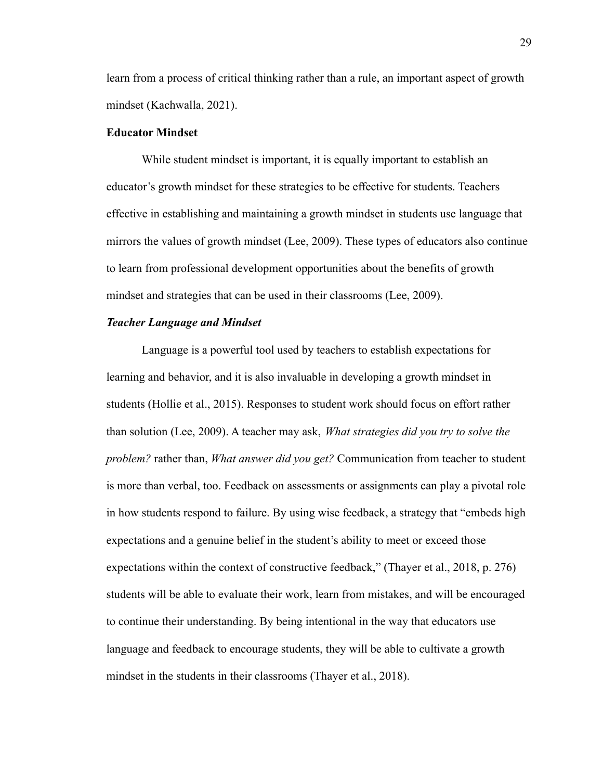learn from a process of critical thinking rather than a rule, an important aspect of growth mindset (Kachwalla, 2021).

#### **Educator Mindset**

While student mindset is important, it is equally important to establish an educator's growth mindset for these strategies to be effective for students. Teachers effective in establishing and maintaining a growth mindset in students use language that mirrors the values of growth mindset (Lee, 2009). These types of educators also continue to learn from professional development opportunities about the benefits of growth mindset and strategies that can be used in their classrooms (Lee, 2009).

#### *Teacher Language and Mindset*

Language is a powerful tool used by teachers to establish expectations for learning and behavior, and it is also invaluable in developing a growth mindset in students (Hollie et al., 2015). Responses to student work should focus on effort rather than solution (Lee, 2009). A teacher may ask, *What strategies did you try to solve the problem?* rather than, *What answer did you get?* Communication from teacher to student is more than verbal, too. Feedback on assessments or assignments can play a pivotal role in how students respond to failure. By using wise feedback, a strategy that "embeds high expectations and a genuine belief in the student's ability to meet or exceed those expectations within the context of constructive feedback," (Thayer et al., 2018, p. 276) students will be able to evaluate their work, learn from mistakes, and will be encouraged to continue their understanding. By being intentional in the way that educators use language and feedback to encourage students, they will be able to cultivate a growth mindset in the students in their classrooms (Thayer et al., 2018).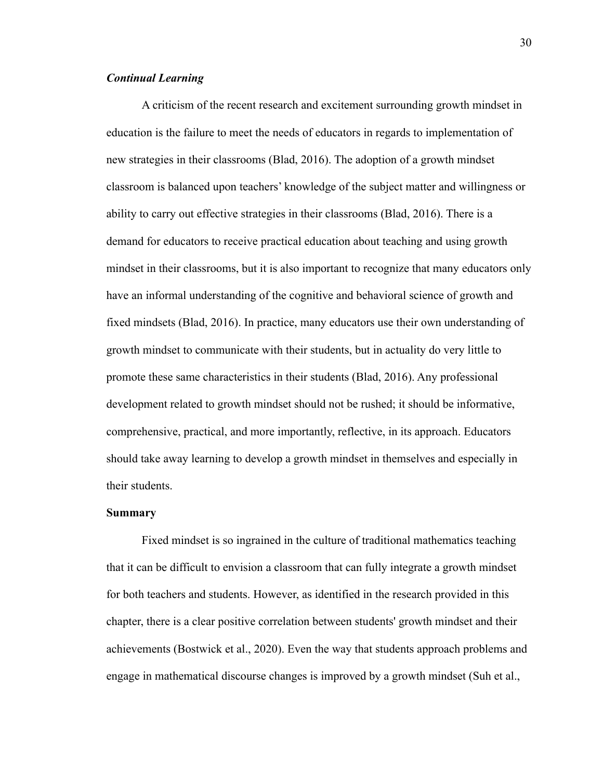## *Continual Learning*

A criticism of the recent research and excitement surrounding growth mindset in education is the failure to meet the needs of educators in regards to implementation of new strategies in their classrooms (Blad, 2016). The adoption of a growth mindset classroom is balanced upon teachers' knowledge of the subject matter and willingness or ability to carry out effective strategies in their classrooms (Blad, 2016). There is a demand for educators to receive practical education about teaching and using growth mindset in their classrooms, but it is also important to recognize that many educators only have an informal understanding of the cognitive and behavioral science of growth and fixed mindsets (Blad, 2016). In practice, many educators use their own understanding of growth mindset to communicate with their students, but in actuality do very little to promote these same characteristics in their students (Blad, 2016). Any professional development related to growth mindset should not be rushed; it should be informative, comprehensive, practical, and more importantly, reflective, in its approach. Educators should take away learning to develop a growth mindset in themselves and especially in their students.

#### **Summary**

Fixed mindset is so ingrained in the culture of traditional mathematics teaching that it can be difficult to envision a classroom that can fully integrate a growth mindset for both teachers and students. However, as identified in the research provided in this chapter, there is a clear positive correlation between students' growth mindset and their achievements (Bostwick et al., 2020). Even the way that students approach problems and engage in mathematical discourse changes is improved by a growth mindset (Suh et al.,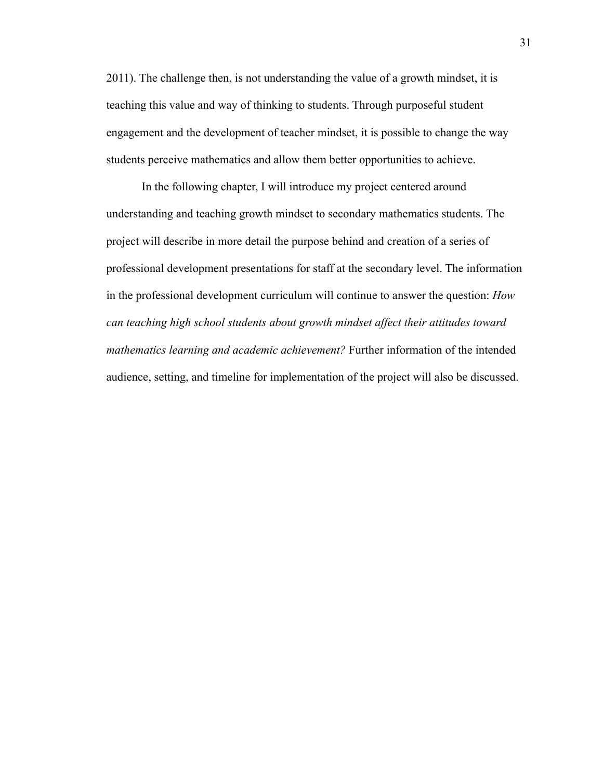2011). The challenge then, is not understanding the value of a growth mindset, it is teaching this value and way of thinking to students. Through purposeful student engagement and the development of teacher mindset, it is possible to change the way students perceive mathematics and allow them better opportunities to achieve.

In the following chapter, I will introduce my project centered around understanding and teaching growth mindset to secondary mathematics students. The project will describe in more detail the purpose behind and creation of a series of professional development presentations for staff at the secondary level. The information in the professional development curriculum will continue to answer the question: *How can teaching high school students about growth mindset affect their attitudes toward mathematics learning and academic achievement?* Further information of the intended audience, setting, and timeline for implementation of the project will also be discussed.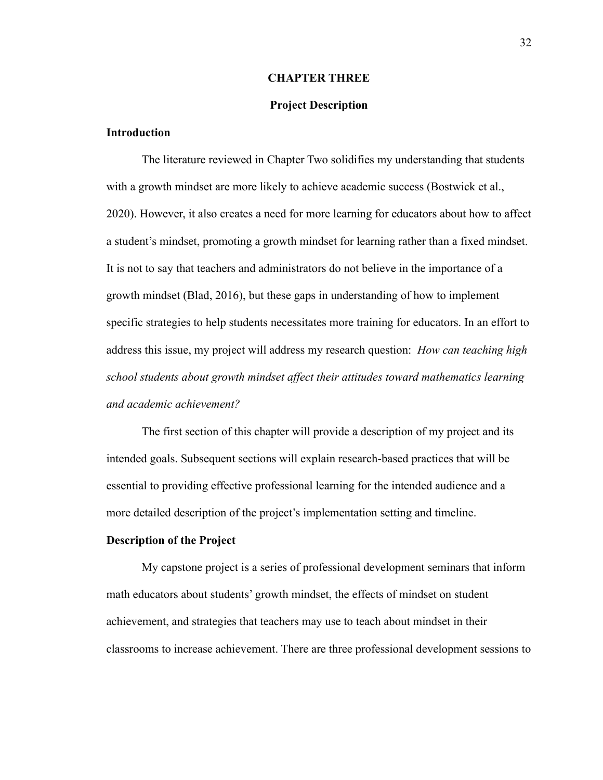#### **CHAPTER THREE**

## **Project Description**

## **Introduction**

The literature reviewed in Chapter Two solidifies my understanding that students with a growth mindset are more likely to achieve academic success (Bostwick et al., 2020). However, it also creates a need for more learning for educators about how to affect a student's mindset, promoting a growth mindset for learning rather than a fixed mindset. It is not to say that teachers and administrators do not believe in the importance of a growth mindset (Blad, 2016), but these gaps in understanding of how to implement specific strategies to help students necessitates more training for educators. In an effort to address this issue, my project will address my research question: *How can teaching high school students about growth mindset affect their attitudes toward mathematics learning and academic achievement?*

The first section of this chapter will provide a description of my project and its intended goals. Subsequent sections will explain research-based practices that will be essential to providing effective professional learning for the intended audience and a more detailed description of the project's implementation setting and timeline.

#### **Description of the Project**

My capstone project is a series of professional development seminars that inform math educators about students' growth mindset, the effects of mindset on student achievement, and strategies that teachers may use to teach about mindset in their classrooms to increase achievement. There are three professional development sessions to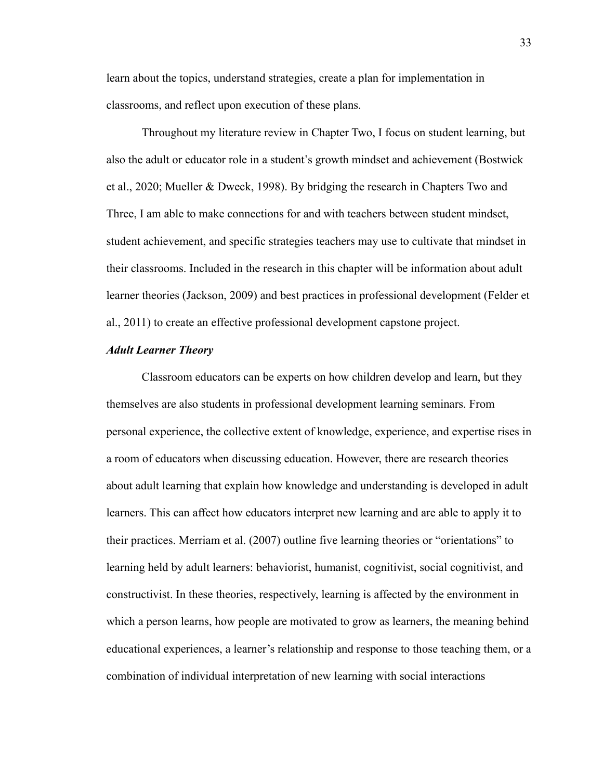learn about the topics, understand strategies, create a plan for implementation in classrooms, and reflect upon execution of these plans.

Throughout my literature review in Chapter Two, I focus on student learning, but also the adult or educator role in a student's growth mindset and achievement (Bostwick et al., 2020; Mueller & Dweck, 1998). By bridging the research in Chapters Two and Three, I am able to make connections for and with teachers between student mindset, student achievement, and specific strategies teachers may use to cultivate that mindset in their classrooms. Included in the research in this chapter will be information about adult learner theories (Jackson, 2009) and best practices in professional development (Felder et al., 2011) to create an effective professional development capstone project.

## *Adult Learner Theory*

Classroom educators can be experts on how children develop and learn, but they themselves are also students in professional development learning seminars. From personal experience, the collective extent of knowledge, experience, and expertise rises in a room of educators when discussing education. However, there are research theories about adult learning that explain how knowledge and understanding is developed in adult learners. This can affect how educators interpret new learning and are able to apply it to their practices. Merriam et al. (2007) outline five learning theories or "orientations" to learning held by adult learners: behaviorist, humanist, cognitivist, social cognitivist, and constructivist. In these theories, respectively, learning is affected by the environment in which a person learns, how people are motivated to grow as learners, the meaning behind educational experiences, a learner's relationship and response to those teaching them, or a combination of individual interpretation of new learning with social interactions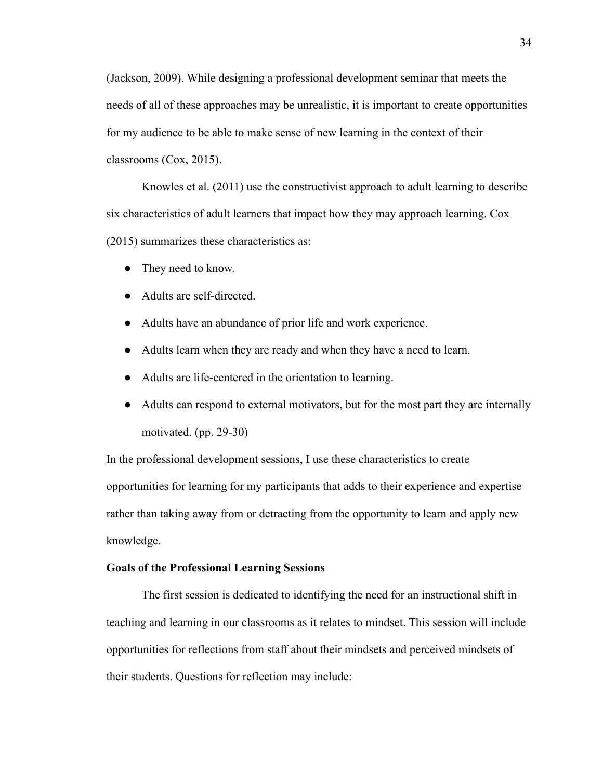(Jackson, 2009). While designing a professional development seminar that meets the needs of all of these approaches may be unrealistic, it is important to create opportunities for my audience to be able to make sense of new learning in the context of their classrooms (Cox, 2015).

Knowles et al. (2011) use the constructivist approach to adult learning to describe six characteristics of adult learners that impact how they may approach learning. Cox (2015) summarizes these characteristics as:

- They need to know.
- Adults are self-directed.
- Adults have an abundance of prior life and work experience.
- Adults learn when they are ready and when they have a need to learn.
- Adults are life-centered in the orientation to learning.
- Adults can respond to external motivators, but for the most part they are internally motivated. (pp. 29-30)

In the professional development sessions, I use these characteristics to create opportunities for learning for my participants that adds to their experience and expertise rather than taking away from or detracting from the opportunity to learn and apply new knowledge.

## **Goals of the Professional Learning Sessions**

The first session is dedicated to identifying the need for an instructional shift in teaching and learning in our classrooms as it relates to mindset. This session will include opportunities for reflections from staff about their mindsets and perceived mindsets of their students. Questions for reflection may include: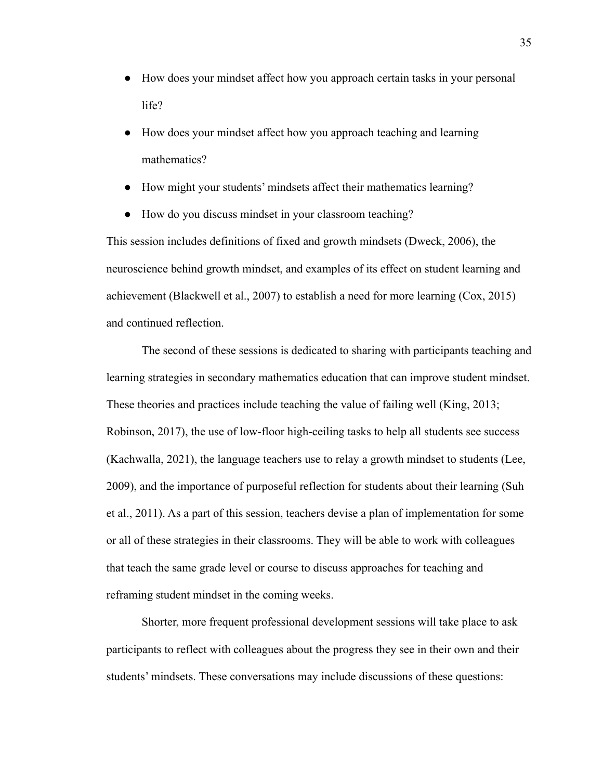- How does your mindset affect how you approach certain tasks in your personal life?
- How does your mindset affect how you approach teaching and learning mathematics?
- How might your students' mindsets affect their mathematics learning?
- How do you discuss mindset in your classroom teaching?

This session includes definitions of fixed and growth mindsets (Dweck, 2006), the neuroscience behind growth mindset, and examples of its effect on student learning and achievement (Blackwell et al., 2007) to establish a need for more learning (Cox, 2015) and continued reflection.

The second of these sessions is dedicated to sharing with participants teaching and learning strategies in secondary mathematics education that can improve student mindset. These theories and practices include teaching the value of failing well (King, 2013; Robinson, 2017), the use of low-floor high-ceiling tasks to help all students see success (Kachwalla, 2021), the language teachers use to relay a growth mindset to students (Lee, 2009), and the importance of purposeful reflection for students about their learning (Suh et al., 2011). As a part of this session, teachers devise a plan of implementation for some or all of these strategies in their classrooms. They will be able to work with colleagues that teach the same grade level or course to discuss approaches for teaching and reframing student mindset in the coming weeks.

Shorter, more frequent professional development sessions will take place to ask participants to reflect with colleagues about the progress they see in their own and their students' mindsets. These conversations may include discussions of these questions: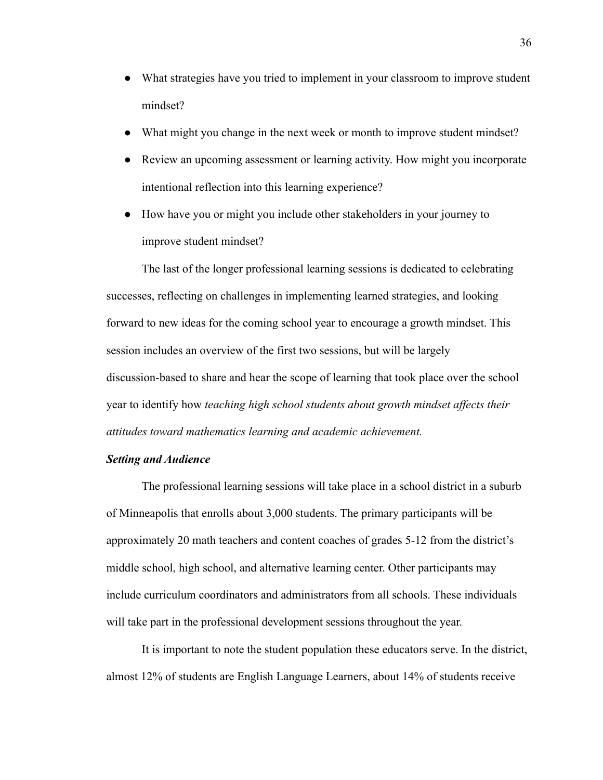- What strategies have you tried to implement in your classroom to improve student mindset?
- What might you change in the next week or month to improve student mindset?
- Review an upcoming assessment or learning activity. How might you incorporate intentional reflection into this learning experience?
- How have you or might you include other stakeholders in your journey to improve student mindset?

The last of the longer professional learning sessions is dedicated to celebrating successes, reflecting on challenges in implementing learned strategies, and looking forward to new ideas for the coming school year to encourage a growth mindset. This session includes an overview of the first two sessions, but will be largely discussion-based to share and hear the scope of learning that took place over the school year to identify how *teaching high school students about growth mindset affects their attitudes toward mathematics learning and academic achievement.*

## *Setting and Audience*

The professional learning sessions will take place in a school district in a suburb of Minneapolis that enrolls about 3,000 students. The primary participants will be approximately 20 math teachers and content coaches of grades 5-12 from the district's middle school, high school, and alternative learning center. Other participants may include curriculum coordinators and administrators from all schools. These individuals will take part in the professional development sessions throughout the year.

It is important to note the student population these educators serve. In the district, almost 12% of students are English Language Learners, about 14% of students receive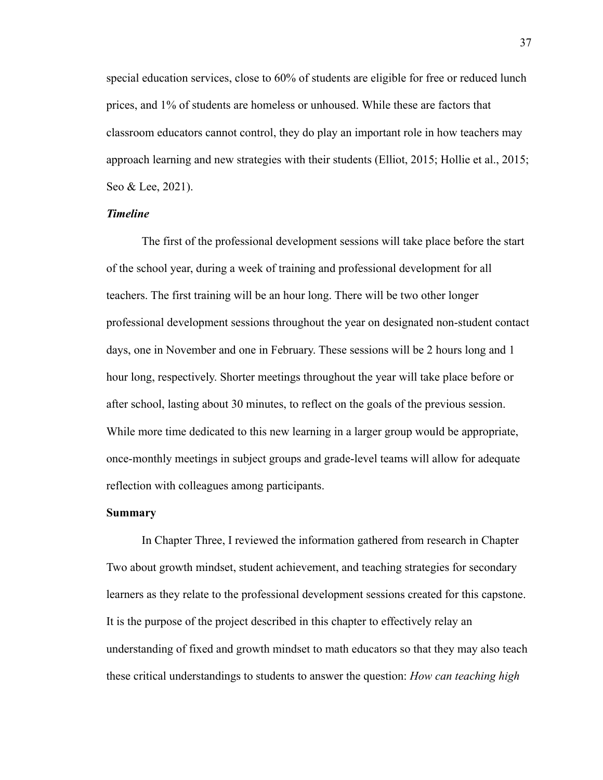special education services, close to 60% of students are eligible for free or reduced lunch prices, and 1% of students are homeless or unhoused. While these are factors that classroom educators cannot control, they do play an important role in how teachers may approach learning and new strategies with their students (Elliot, 2015; Hollie et al., 2015; Seo & Lee, 2021).

## *Timeline*

The first of the professional development sessions will take place before the start of the school year, during a week of training and professional development for all teachers. The first training will be an hour long. There will be two other longer professional development sessions throughout the year on designated non-student contact days, one in November and one in February. These sessions will be 2 hours long and 1 hour long, respectively. Shorter meetings throughout the year will take place before or after school, lasting about 30 minutes, to reflect on the goals of the previous session. While more time dedicated to this new learning in a larger group would be appropriate, once-monthly meetings in subject groups and grade-level teams will allow for adequate reflection with colleagues among participants.

#### **Summary**

In Chapter Three, I reviewed the information gathered from research in Chapter Two about growth mindset, student achievement, and teaching strategies for secondary learners as they relate to the professional development sessions created for this capstone. It is the purpose of the project described in this chapter to effectively relay an understanding of fixed and growth mindset to math educators so that they may also teach these critical understandings to students to answer the question: *How can teaching high*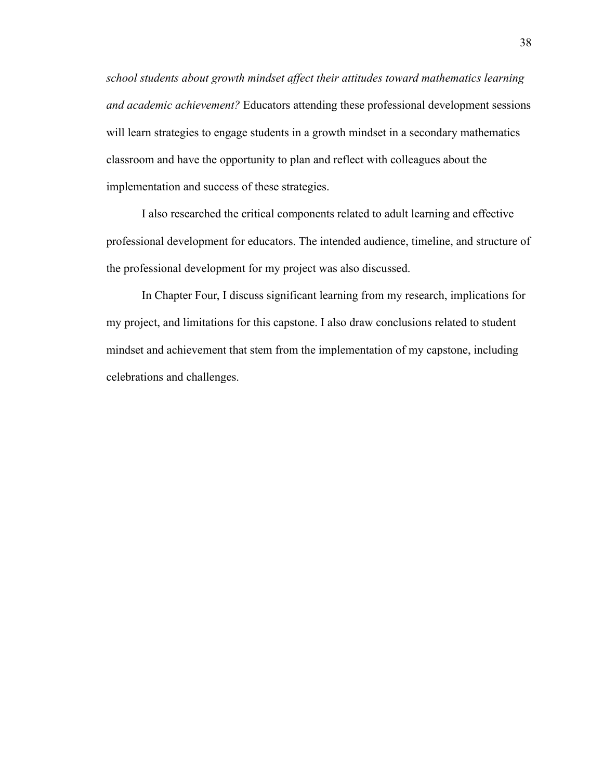*school students about growth mindset affect their attitudes toward mathematics learning and academic achievement?* Educators attending these professional development sessions will learn strategies to engage students in a growth mindset in a secondary mathematics classroom and have the opportunity to plan and reflect with colleagues about the implementation and success of these strategies.

I also researched the critical components related to adult learning and effective professional development for educators. The intended audience, timeline, and structure of the professional development for my project was also discussed.

In Chapter Four, I discuss significant learning from my research, implications for my project, and limitations for this capstone. I also draw conclusions related to student mindset and achievement that stem from the implementation of my capstone, including celebrations and challenges.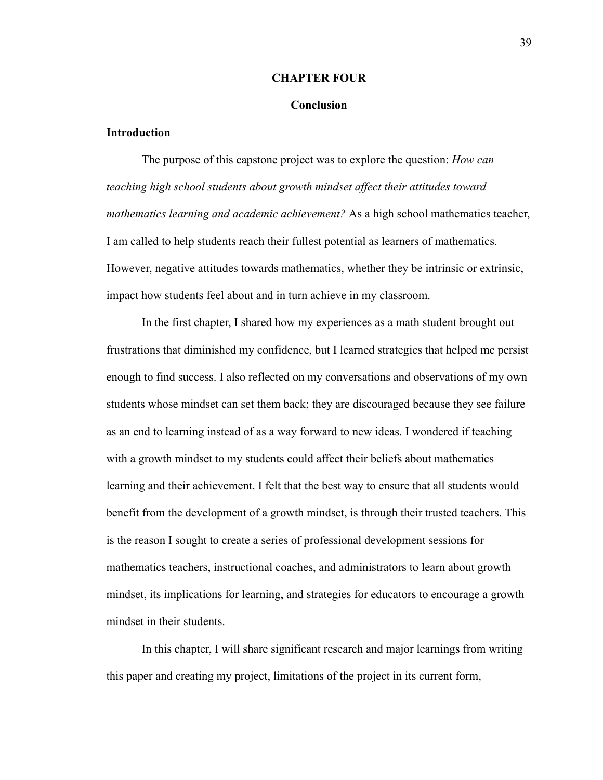#### **CHAPTER FOUR**

#### **Conclusion**

## **Introduction**

The purpose of this capstone project was to explore the question: *How can teaching high school students about growth mindset affect their attitudes toward mathematics learning and academic achievement?* As a high school mathematics teacher, I am called to help students reach their fullest potential as learners of mathematics. However, negative attitudes towards mathematics, whether they be intrinsic or extrinsic, impact how students feel about and in turn achieve in my classroom.

In the first chapter, I shared how my experiences as a math student brought out frustrations that diminished my confidence, but I learned strategies that helped me persist enough to find success. I also reflected on my conversations and observations of my own students whose mindset can set them back; they are discouraged because they see failure as an end to learning instead of as a way forward to new ideas. I wondered if teaching with a growth mindset to my students could affect their beliefs about mathematics learning and their achievement. I felt that the best way to ensure that all students would benefit from the development of a growth mindset, is through their trusted teachers. This is the reason I sought to create a series of professional development sessions for mathematics teachers, instructional coaches, and administrators to learn about growth mindset, its implications for learning, and strategies for educators to encourage a growth mindset in their students.

In this chapter, I will share significant research and major learnings from writing this paper and creating my project, limitations of the project in its current form,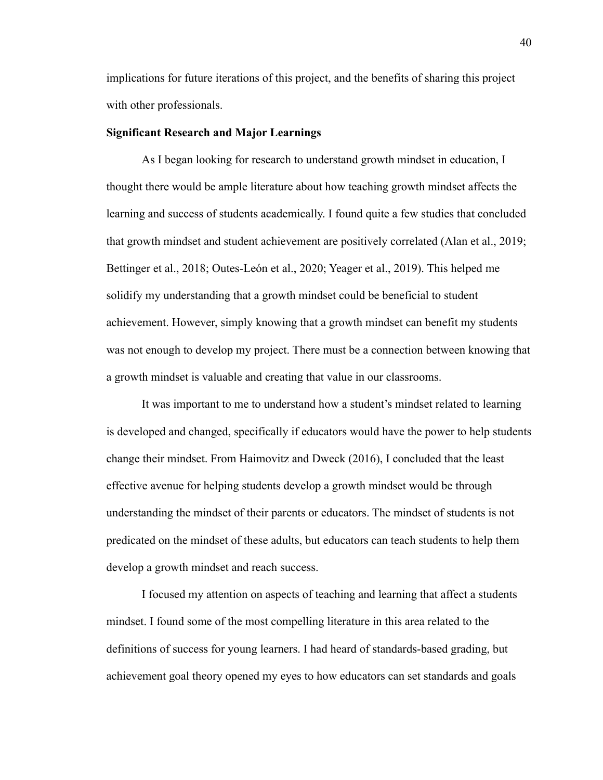implications for future iterations of this project, and the benefits of sharing this project with other professionals.

## **Significant Research and Major Learnings**

As I began looking for research to understand growth mindset in education, I thought there would be ample literature about how teaching growth mindset affects the learning and success of students academically. I found quite a few studies that concluded that growth mindset and student achievement are positively correlated (Alan et al., 2019; Bettinger et al., 2018; Outes-León et al., 2020; Yeager et al., 2019). This helped me solidify my understanding that a growth mindset could be beneficial to student achievement. However, simply knowing that a growth mindset can benefit my students was not enough to develop my project. There must be a connection between knowing that a growth mindset is valuable and creating that value in our classrooms.

It was important to me to understand how a student's mindset related to learning is developed and changed, specifically if educators would have the power to help students change their mindset. From Haimovitz and Dweck (2016), I concluded that the least effective avenue for helping students develop a growth mindset would be through understanding the mindset of their parents or educators. The mindset of students is not predicated on the mindset of these adults, but educators can teach students to help them develop a growth mindset and reach success.

I focused my attention on aspects of teaching and learning that affect a students mindset. I found some of the most compelling literature in this area related to the definitions of success for young learners. I had heard of standards-based grading, but achievement goal theory opened my eyes to how educators can set standards and goals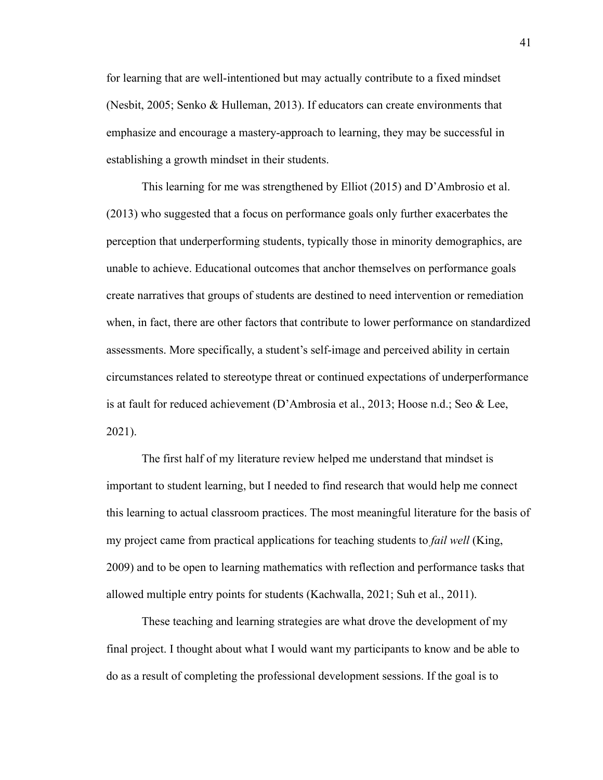for learning that are well-intentioned but may actually contribute to a fixed mindset (Nesbit, 2005; Senko & Hulleman, 2013). If educators can create environments that emphasize and encourage a mastery-approach to learning, they may be successful in establishing a growth mindset in their students.

This learning for me was strengthened by Elliot (2015) and D'Ambrosio et al. (2013) who suggested that a focus on performance goals only further exacerbates the perception that underperforming students, typically those in minority demographics, are unable to achieve. Educational outcomes that anchor themselves on performance goals create narratives that groups of students are destined to need intervention or remediation when, in fact, there are other factors that contribute to lower performance on standardized assessments. More specifically, a student's self-image and perceived ability in certain circumstances related to stereotype threat or continued expectations of underperformance is at fault for reduced achievement (D'Ambrosia et al., 2013; Hoose n.d.; Seo & Lee, 2021).

The first half of my literature review helped me understand that mindset is important to student learning, but I needed to find research that would help me connect this learning to actual classroom practices. The most meaningful literature for the basis of my project came from practical applications for teaching students to *fail well* (King, 2009) and to be open to learning mathematics with reflection and performance tasks that allowed multiple entry points for students (Kachwalla, 2021; Suh et al., 2011).

These teaching and learning strategies are what drove the development of my final project. I thought about what I would want my participants to know and be able to do as a result of completing the professional development sessions. If the goal is to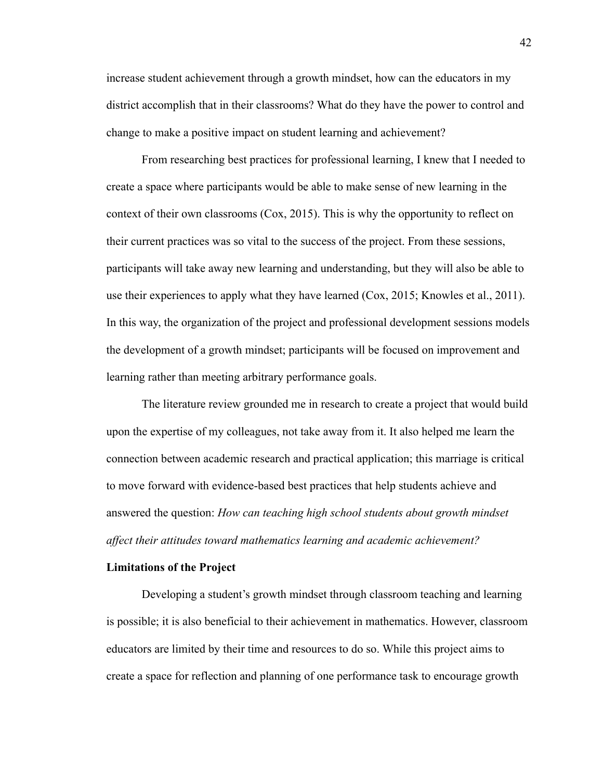increase student achievement through a growth mindset, how can the educators in my district accomplish that in their classrooms? What do they have the power to control and change to make a positive impact on student learning and achievement?

From researching best practices for professional learning, I knew that I needed to create a space where participants would be able to make sense of new learning in the context of their own classrooms (Cox, 2015). This is why the opportunity to reflect on their current practices was so vital to the success of the project. From these sessions, participants will take away new learning and understanding, but they will also be able to use their experiences to apply what they have learned (Cox, 2015; Knowles et al., 2011). In this way, the organization of the project and professional development sessions models the development of a growth mindset; participants will be focused on improvement and learning rather than meeting arbitrary performance goals.

The literature review grounded me in research to create a project that would build upon the expertise of my colleagues, not take away from it. It also helped me learn the connection between academic research and practical application; this marriage is critical to move forward with evidence-based best practices that help students achieve and answered the question: *How can teaching high school students about growth mindset affect their attitudes toward mathematics learning and academic achievement?*

#### **Limitations of the Project**

Developing a student's growth mindset through classroom teaching and learning is possible; it is also beneficial to their achievement in mathematics. However, classroom educators are limited by their time and resources to do so. While this project aims to create a space for reflection and planning of one performance task to encourage growth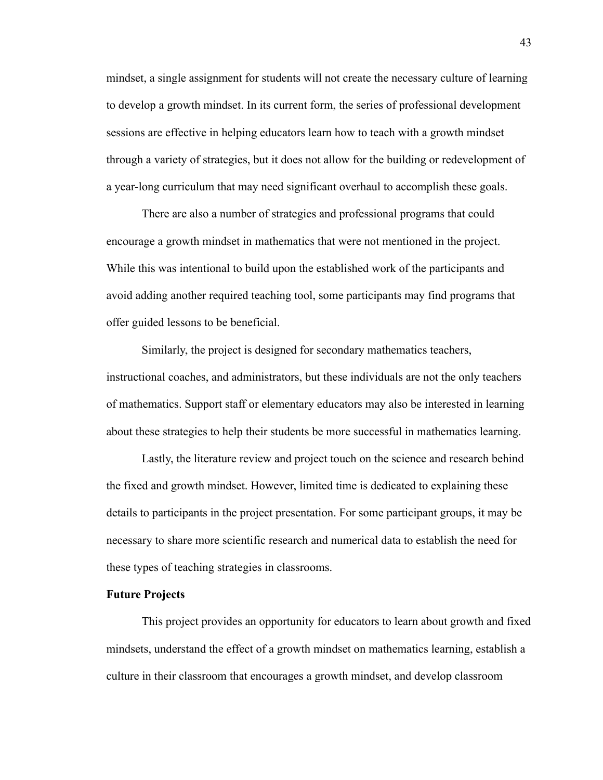mindset, a single assignment for students will not create the necessary culture of learning to develop a growth mindset. In its current form, the series of professional development sessions are effective in helping educators learn how to teach with a growth mindset through a variety of strategies, but it does not allow for the building or redevelopment of a year-long curriculum that may need significant overhaul to accomplish these goals.

There are also a number of strategies and professional programs that could encourage a growth mindset in mathematics that were not mentioned in the project. While this was intentional to build upon the established work of the participants and avoid adding another required teaching tool, some participants may find programs that offer guided lessons to be beneficial.

Similarly, the project is designed for secondary mathematics teachers, instructional coaches, and administrators, but these individuals are not the only teachers of mathematics. Support staff or elementary educators may also be interested in learning about these strategies to help their students be more successful in mathematics learning.

Lastly, the literature review and project touch on the science and research behind the fixed and growth mindset. However, limited time is dedicated to explaining these details to participants in the project presentation. For some participant groups, it may be necessary to share more scientific research and numerical data to establish the need for these types of teaching strategies in classrooms.

## **Future Projects**

This project provides an opportunity for educators to learn about growth and fixed mindsets, understand the effect of a growth mindset on mathematics learning, establish a culture in their classroom that encourages a growth mindset, and develop classroom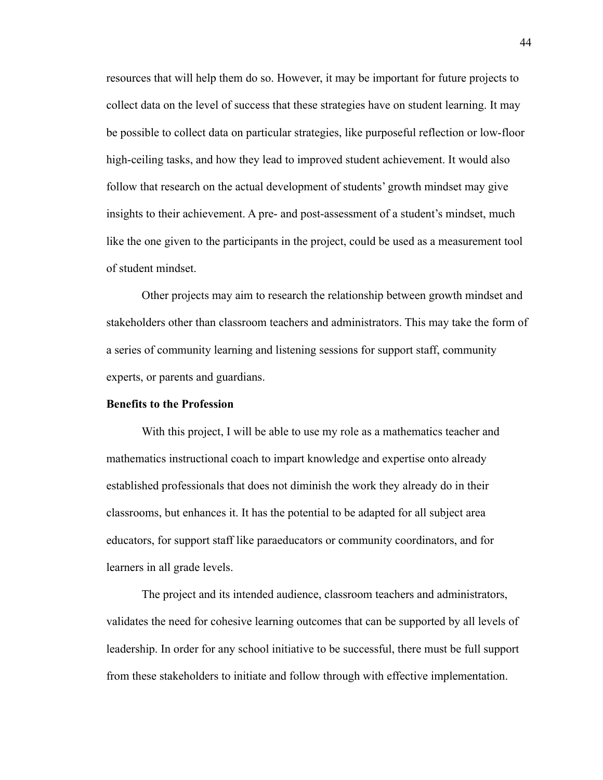resources that will help them do so. However, it may be important for future projects to collect data on the level of success that these strategies have on student learning. It may be possible to collect data on particular strategies, like purposeful reflection or low-floor high-ceiling tasks, and how they lead to improved student achievement. It would also follow that research on the actual development of students' growth mindset may give insights to their achievement. A pre- and post-assessment of a student's mindset, much like the one given to the participants in the project, could be used as a measurement tool of student mindset.

Other projects may aim to research the relationship between growth mindset and stakeholders other than classroom teachers and administrators. This may take the form of a series of community learning and listening sessions for support staff, community experts, or parents and guardians.

#### **Benefits to the Profession**

With this project, I will be able to use my role as a mathematics teacher and mathematics instructional coach to impart knowledge and expertise onto already established professionals that does not diminish the work they already do in their classrooms, but enhances it. It has the potential to be adapted for all subject area educators, for support staff like paraeducators or community coordinators, and for learners in all grade levels.

The project and its intended audience, classroom teachers and administrators, validates the need for cohesive learning outcomes that can be supported by all levels of leadership. In order for any school initiative to be successful, there must be full support from these stakeholders to initiate and follow through with effective implementation.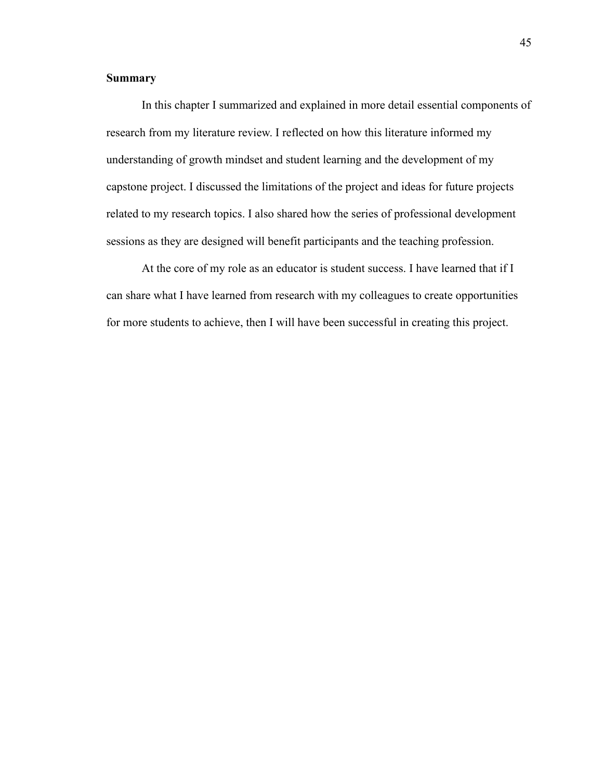## **Summary**

In this chapter I summarized and explained in more detail essential components of research from my literature review. I reflected on how this literature informed my understanding of growth mindset and student learning and the development of my capstone project. I discussed the limitations of the project and ideas for future projects related to my research topics. I also shared how the series of professional development sessions as they are designed will benefit participants and the teaching profession.

At the core of my role as an educator is student success. I have learned that if I can share what I have learned from research with my colleagues to create opportunities for more students to achieve, then I will have been successful in creating this project.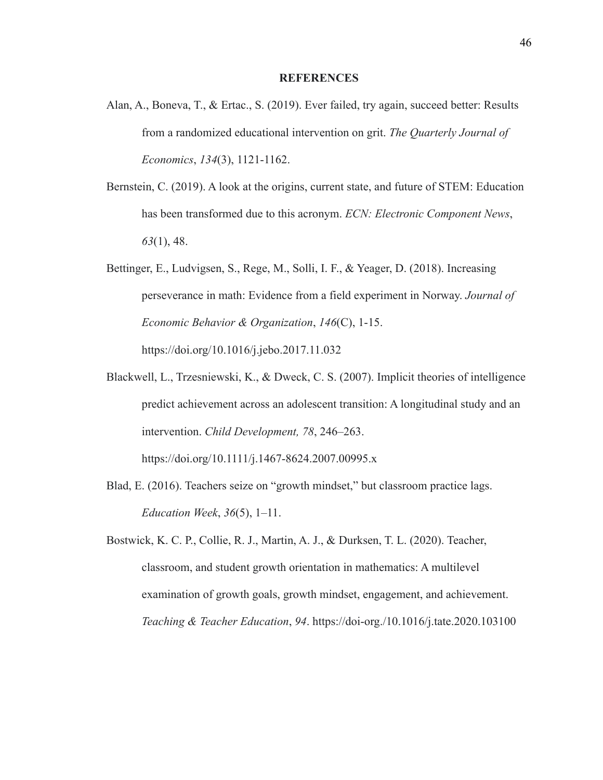#### **REFERENCES**

- Alan, A., Boneva, T., & Ertac., S. (2019). Ever failed, try again, succeed better: Results from a randomized educational intervention on grit. *The Quarterly Journal of Economics*, *134*(3), 1121-1162.
- Bernstein, C. (2019). A look at the origins, current state, and future of STEM: Education has been transformed due to this acronym. *ECN: Electronic Component News*, *63*(1), 48.
- Bettinger, E., Ludvigsen, S., Rege, M., Solli, I. F., & Yeager, D. (2018). Increasing perseverance in math: Evidence from a field experiment in Norway. *Journal of Economic Behavior & Organization*, *146*(C), 1-15. https://doi.org/10.1016/j.jebo.2017.11.032
- Blackwell, L., Trzesniewski, K., & Dweck, C. S. (2007). Implicit theories of intelligence predict achievement across an adolescent transition: A longitudinal study and an intervention. *Child Development, 78*, 246–263. https://doi.org/10.1111/j.1467-8624.2007.00995.x
- Blad, E. (2016). Teachers seize on "growth mindset," but classroom practice lags. *Education Week*, *36*(5), 1–11.
- Bostwick, K. C. P., Collie, R. J., Martin, A. J., & Durksen, T. L. (2020). Teacher, classroom, and student growth orientation in mathematics: A multilevel examination of growth goals, growth mindset, engagement, and achievement. *Teaching & Teacher Education*, *94*. https://doi-org./10.1016/j.tate.2020.103100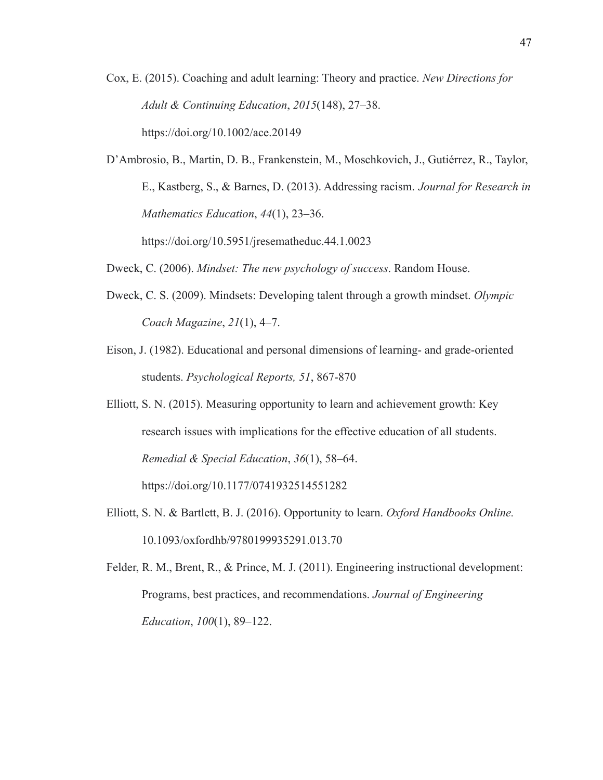- Cox, E. (2015). Coaching and adult learning: Theory and practice. *New Directions for Adult & Continuing Education*, *2015*(148), 27–38. https://doi.org/10.1002/ace.20149
- D'Ambrosio, B., Martin, D. B., Frankenstein, M., Moschkovich, J., Gutiérrez, R., Taylor, E., Kastberg, S., & Barnes, D. (2013). Addressing racism. *Journal for Research in Mathematics Education*, *44*(1), 23–36. https://doi.org/10.5951/jresematheduc.44.1.0023
- Dweck, C. (2006). *Mindset: The new psychology of success*. Random House.
- Dweck, C. S. (2009). Mindsets: Developing talent through a growth mindset. *Olympic Coach Magazine*, *21*(1), 4–7.
- Eison, J. (1982). Educational and personal dimensions of learning- and grade-oriented students. *Psychological Reports, 51*, 867-870
- Elliott, S. N. (2015). Measuring opportunity to learn and achievement growth: Key research issues with implications for the effective education of all students. *Remedial & Special Education*, *36*(1), 58–64. https://doi.org/10.1177/0741932514551282
- Elliott, S. N. & Bartlett, B. J. (2016). Opportunity to learn. *Oxford Handbooks Online.* 10.1093/oxfordhb/9780199935291.013.70
- Felder, R. M., Brent, R., & Prince, M. J. (2011). Engineering instructional development: Programs, best practices, and recommendations. *Journal of Engineering Education*, *100*(1), 89–122.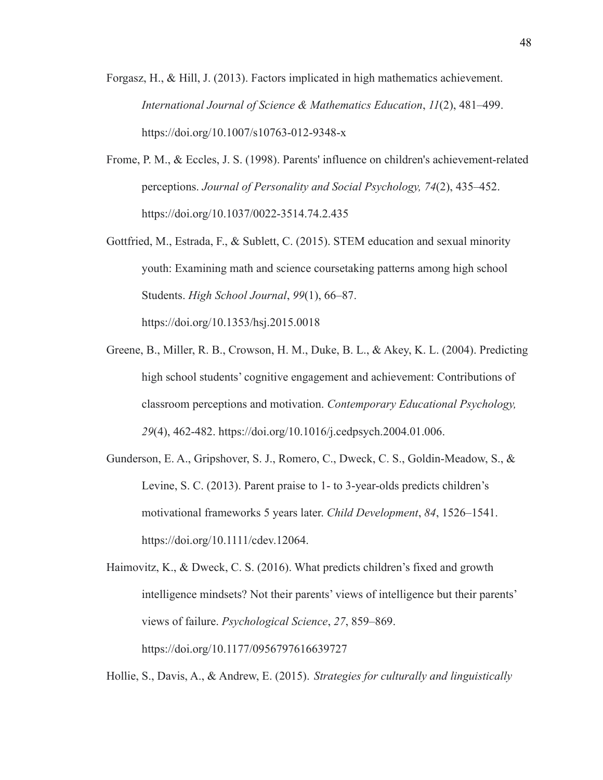- Forgasz, H., & Hill, J. (2013). Factors implicated in high mathematics achievement. *International Journal of Science & Mathematics Education*, *11*(2), 481–499. https://doi.org/10.1007/s10763-012-9348-x
- Frome, P. M., & Eccles, J. S. (1998). Parents' influence on children's achievement-related perceptions. *Journal of Personality and Social Psychology, 74*(2), 435–452. <https://doi.org/10.1037/0022-3514.74.2.435>
- Gottfried, M., Estrada, F., & Sublett, C. (2015). STEM education and sexual minority youth: Examining math and science coursetaking patterns among high school Students. *High School Journal*, *99*(1), 66–87. https://doi.org/10.1353/hsj.2015.0018
- Greene, B., Miller, R. B., Crowson, H. M., Duke, B. L., & Akey, K. L. (2004). Predicting high school students' cognitive engagement and achievement: Contributions of classroom perceptions and motivation. *Contemporary Educational Psychology, 29*(4), 462-482. https://doi.org/10.1016/j.cedpsych.2004.01.006.
- Gunderson, E. A., Gripshover, S. J., Romero, C., Dweck, C. S., Goldin-Meadow, S., & Levine, S. C. (2013). Parent praise to 1- to 3-year-olds predicts children's motivational frameworks 5 years later. *Child Development*, *84*, 1526–1541. https://doi.org/10.1111/cdev.12064.
- Haimovitz, K., & Dweck, C. S. (2016). What predicts children's fixed and growth intelligence mindsets? Not their parents' views of intelligence but their parents' views of failure. *Psychological Science*, *27*, 859–869. https://doi.org/10.1177/0956797616639727

Hollie, S., Davis, A., & Andrew, E. (2015). *Strategies for culturally and linguistically*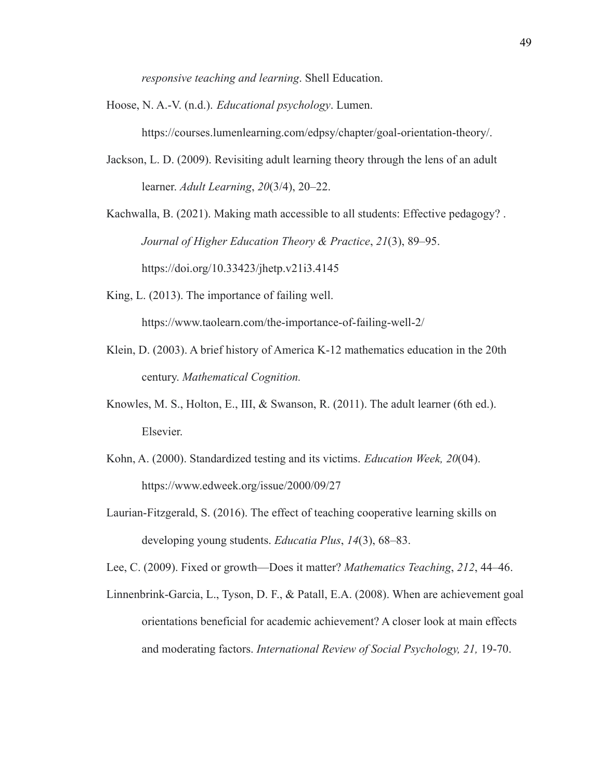*responsive teaching and learning*. Shell Education.

Hoose, N. A.-V. (n.d.). *Educational psychology*. Lumen.

https://courses.lumenlearning.com/edpsy/chapter/goal-orientation-theory/.

Jackson, L. D. (2009). Revisiting adult learning theory through the lens of an adult learner. *Adult Learning*, *20*(3/4), 20–22.

Kachwalla, B. (2021). Making math accessible to all students: Effective pedagogy? . *Journal of Higher Education Theory & Practice*, *21*(3), 89–95.

https://doi.org/10.33423/jhetp.v21i3.4145

King, L. (2013). The importance of failing well.

https://www.taolearn.com/the-importance-of-failing-well-2/

- Klein, D. (2003). A brief history of America K-12 mathematics education in the 20th century. *Mathematical Cognition.*
- Knowles, M. S., Holton, E., III, & Swanson, R. (2011). The adult learner (6th ed.). Elsevier.
- Kohn, A. (2000). Standardized testing and its victims. *Education Week, 20*(04). https://www.edweek.org/issue/2000/09/27
- Laurian-Fitzgerald, S. (2016). The effect of teaching cooperative learning skills on developing young students. *Educatia Plus*, *14*(3), 68–83.

Lee, C. (2009). Fixed or growth—Does it matter? *Mathematics Teaching*, *212*, 44–46.

Linnenbrink-Garcia, L., Tyson, D. F., & Patall, E.A. (2008). When are achievement goal orientations beneficial for academic achievement? A closer look at main effects and moderating factors. *International Review of Social Psychology, 21,* 19-70.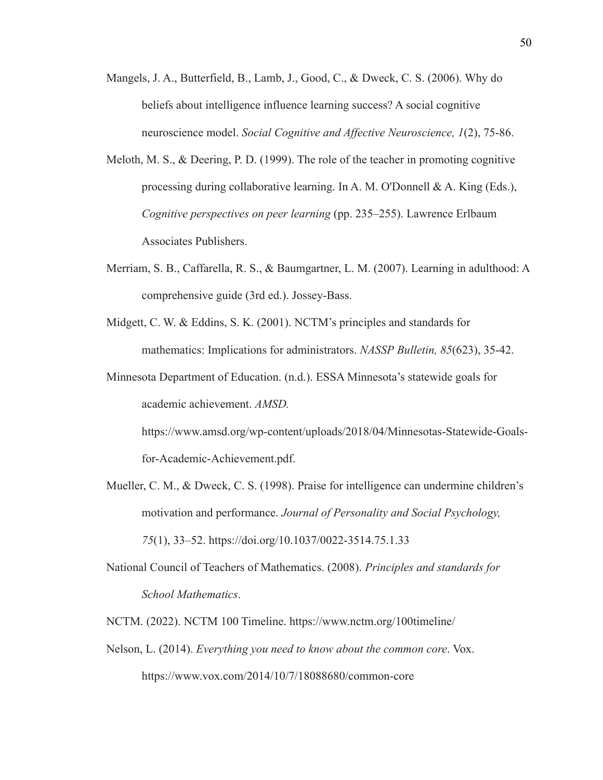- Mangels, J. A., Butterfield, B., Lamb, J., Good, C., & Dweck, C. S. (2006). Why do beliefs about intelligence influence learning success? A social cognitive neuroscience model. *Social Cognitive and Affective Neuroscience, 1*(2), 75-86.
- Meloth, M. S., & Deering, P. D. (1999). The role of the teacher in promoting cognitive processing during collaborative learning. In A. M. O'Donnell & A. King (Eds.), *Cognitive perspectives on peer learning* (pp. 235–255). Lawrence Erlbaum Associates Publishers.
- Merriam, S. B., Caffarella, R. S., & Baumgartner, L. M. (2007). Learning in adulthood: A comprehensive guide (3rd ed.). Jossey-Bass.
- Midgett, C. W. & Eddins, S. K. (2001). NCTM's principles and standards for mathematics: Implications for administrators. *NASSP Bulletin, 85*(623), 35-42.

Minnesota Department of Education. (n.d.). ESSA Minnesota's statewide goals for academic achievement. *AMSD.* https://www.amsd.org/wp-content/uploads/2018/04/Minnesotas-Statewide-Goalsfor-Academic-Achievement.pdf.

- Mueller, C. M., & Dweck, C. S. (1998). Praise for intelligence can undermine children's motivation and performance. *Journal of Personality and Social Psychology, 75*(1), 33–52. https://doi.org/10.1037/0022-3514.75.1.33
- National Council of Teachers of Mathematics. (2008). *Principles and standards for School Mathematics*.

NCTM. (2022). NCTM 100 Timeline. https://www.nctm.org/100timeline/

Nelson, L. (2014). *Everything you need to know about the common core*. Vox. https://www.vox.com/2014/10/7/18088680/common-core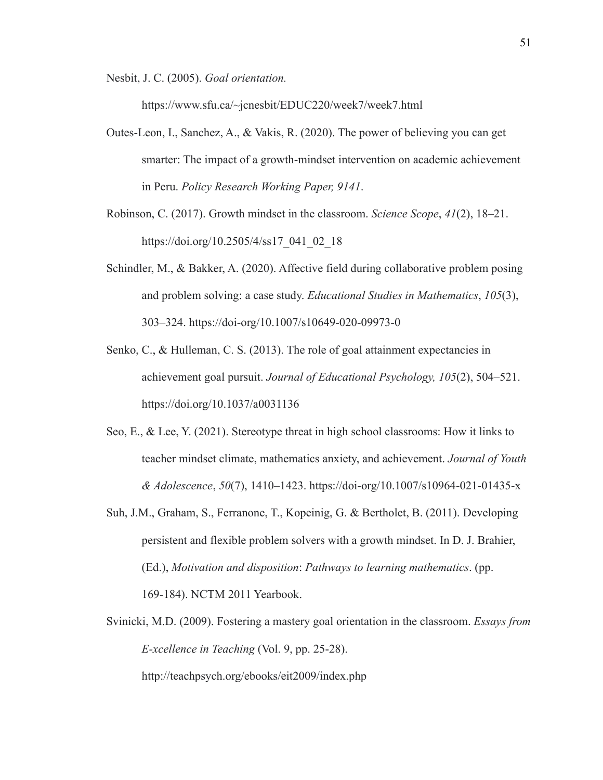Nesbit, J. C. (2005). *Goal orientation.*

https://www.sfu.ca/~jcnesbit/EDUC220/week7/week7.html

- Outes-Leon, I., Sanchez, A., & Vakis, R. (2020). The power of believing you can get smarter: The impact of a growth-mindset intervention on academic achievement in Peru. *Policy Research Working Paper, 9141*.
- Robinson, C. (2017). Growth mindset in the classroom. *Science Scope*, *41*(2), 18–21. https://doi.org/10.2505/4/ss17\_041\_02\_18
- Schindler, M., & Bakker, A. (2020). Affective field during collaborative problem posing and problem solving: a case study. *Educational Studies in Mathematics*, *105*(3), 303–324. https://doi-org/10.1007/s10649-020-09973-0
- Senko, C., & Hulleman, C. S. (2013). The role of goal attainment expectancies in achievement goal pursuit. *Journal of Educational Psychology, 105*(2), 504–521. https://doi.org/10.1037/a0031136
- Seo, E., & Lee, Y. (2021). Stereotype threat in high school classrooms: How it links to teacher mindset climate, mathematics anxiety, and achievement. *Journal of Youth & Adolescence*, *50*(7), 1410–1423. https://doi-org/10.1007/s10964-021-01435-x
- Suh, J.M., Graham, S., Ferranone, T., Kopeinig, G. & Bertholet, B. (2011). Developing persistent and flexible problem solvers with a growth mindset. In D. J. Brahier, (Ed.), *Motivation and disposition*: *Pathways to learning mathematics*. (pp. 169-184). NCTM 2011 Yearbook.
- Svinicki, M.D. (2009). Fostering a mastery goal orientation in the classroom. *Essays from E-xcellence in Teaching* (Vol. 9, pp. 25-28). http://teachpsych.org/ebooks/eit2009/index.php